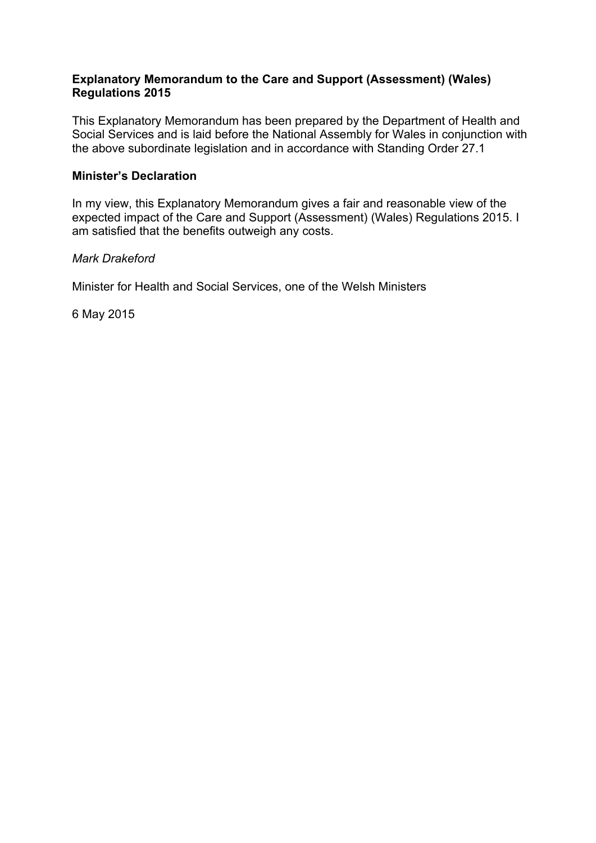#### **Explanatory Memorandum to the Care and Support (Assessment) (Wales) Regulations 2015**

This Explanatory Memorandum has been prepared by the Department of Health and Social Services and is laid before the National Assembly for Wales in conjunction with the above subordinate legislation and in accordance with Standing Order 27.1

#### **Minister's Declaration**

In my view, this Explanatory Memorandum gives a fair and reasonable view of the expected impact of the Care and Support (Assessment) (Wales) Regulations 2015. I am satisfied that the benefits outweigh any costs.

#### *Mark Drakeford*

Minister for Health and Social Services, one of the Welsh Ministers

6 May 2015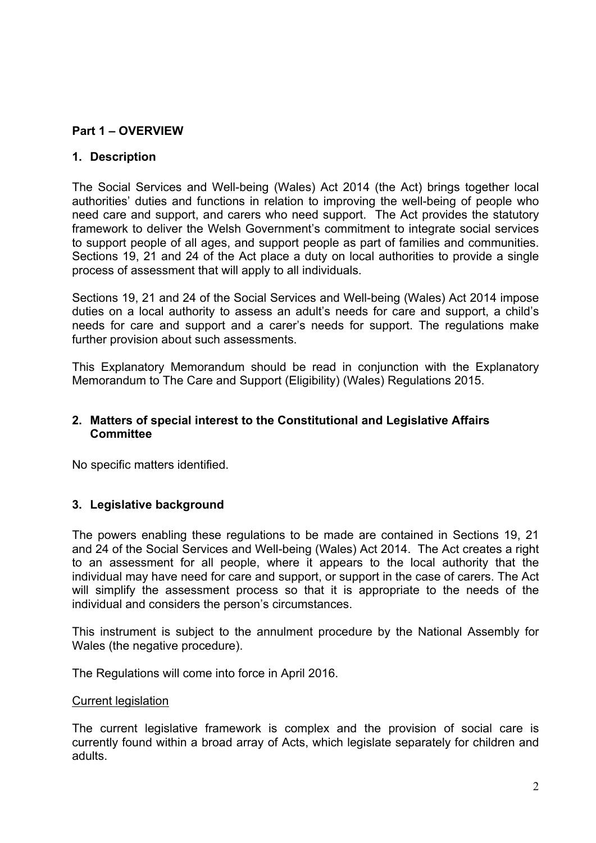#### **Part 1 – OVERVIEW**

#### **1. Description**

The Social Services and Well-being (Wales) Act 2014 (the Act) brings together local authorities' duties and functions in relation to improving the well-being of people who need care and support, and carers who need support. The Act provides the statutory framework to deliver the Welsh Government's commitment to integrate social services to support people of all ages, and support people as part of families and communities. Sections 19, 21 and 24 of the Act place a duty on local authorities to provide a single process of assessment that will apply to all individuals.

Sections 19, 21 and 24 of the Social Services and Well-being (Wales) Act 2014 impose duties on a local authority to assess an adult's needs for care and support, a child's needs for care and support and a carer's needs for support. The regulations make further provision about such assessments.

This Explanatory Memorandum should be read in conjunction with the Explanatory Memorandum to The Care and Support (Eligibility) (Wales) Regulations 2015.

#### **2. Matters of special interest to the Constitutional and Legislative Affairs Committee**

No specific matters identified.

#### **3. Legislative background**

The powers enabling these regulations to be made are contained in Sections 19, 21 and 24 of the Social Services and Well-being (Wales) Act 2014. The Act creates a right to an assessment for all people, where it appears to the local authority that the individual may have need for care and support, or support in the case of carers. The Act will simplify the assessment process so that it is appropriate to the needs of the individual and considers the person's circumstances.

This instrument is subject to the annulment procedure by the National Assembly for Wales (the negative procedure).

The Regulations will come into force in April 2016.

#### Current legislation

The current legislative framework is complex and the provision of social care is currently found within a broad array of Acts, which legislate separately for children and adults.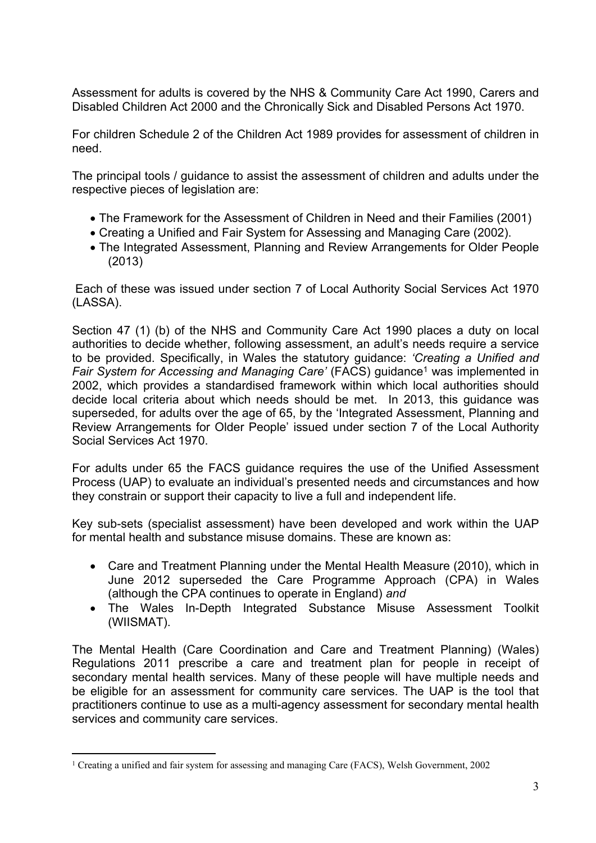Assessment for adults is covered by the NHS & Community Care Act 1990, Carers and Disabled Children Act 2000 and the Chronically Sick and Disabled Persons Act 1970.

For children Schedule 2 of the Children Act 1989 provides for assessment of children in need.

The principal tools / guidance to assist the assessment of children and adults under the respective pieces of legislation are:

- The Framework for the Assessment of Children in Need and their Families (2001)
- Creating a Unified and Fair System for Assessing and Managing Care (2002).
- The Integrated Assessment, Planning and Review Arrangements for Older People (2013)

Each of these was issued under section 7 of Local Authority Social Services Act 1970 (LASSA).

Section 47 (1) (b) of the NHS and Community Care Act 1990 places a duty on local authorities to decide whether, following assessment, an adult's needs require a service to be provided. Specifically, in Wales the statutory guidance: *'Creating a Unified and Fair System for Accessing and Managing Care'* (FACS) guidance<sup>1</sup> was implemented in 2002, which provides a standardised framework within which local authorities should decide local criteria about which needs should be met. In 2013, this guidance was superseded, for adults over the age of 65, by the 'Integrated Assessment, Planning and Review Arrangements for Older People' issued under section 7 of the Local Authority Social Services Act 1970.

For adults under 65 the FACS guidance requires the use of the Unified Assessment Process (UAP) to evaluate an individual's presented needs and circumstances and how they constrain or support their capacity to live a full and independent life.

Key sub-sets (specialist assessment) have been developed and work within the UAP for mental health and substance misuse domains. These are known as:

- Care and Treatment Planning under the Mental Health Measure (2010), which in June 2012 superseded the Care Programme Approach (CPA) in Wales (although the CPA continues to operate in England) *and*
- The Wales In-Depth Integrated Substance Misuse Assessment Toolkit (WIISMAT).

The Mental Health (Care Coordination and Care and Treatment Planning) (Wales) Regulations 2011 prescribe a care and treatment plan for people in receipt of secondary mental health services. Many of these people will have multiple needs and be eligible for an assessment for community care services. The UAP is the tool that practitioners continue to use as a multi-agency assessment for secondary mental health services and community care services.

<sup>1</sup> Creating a unified and fair system for assessing and managing Care (FACS), Welsh Government, 2002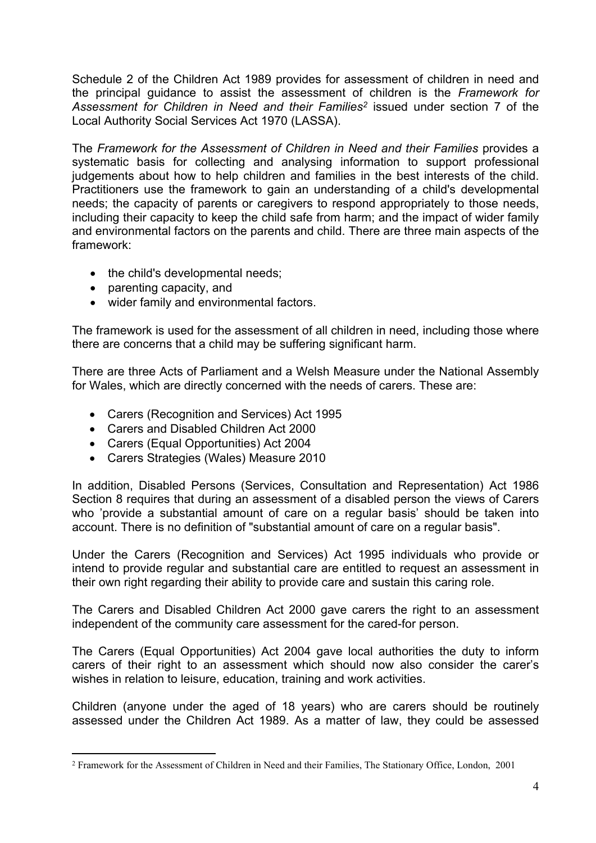Schedule 2 of the Children Act 1989 provides for assessment of children in need and the principal guidance to assist the assessment of children is the *Framework for Assessment for Children in Need and their Families<sup>2</sup>* issued under section 7 of the Local Authority Social Services Act 1970 (LASSA).

The *Framework for the Assessment of Children in Need and their Families* provides a systematic basis for collecting and analysing information to support professional judgements about how to help children and families in the best interests of the child. Practitioners use the framework to gain an understanding of a child's developmental needs; the capacity of parents or caregivers to respond appropriately to those needs, including their capacity to keep the child safe from harm; and the impact of wider family and environmental factors on the parents and child. There are three main aspects of the framework:

- the child's developmental needs;
- parenting capacity, and
- wider family and environmental factors.

The framework is used for the assessment of all children in need, including those where there are concerns that a child may be suffering significant harm.

There are three Acts of Parliament and a Welsh Measure under the National Assembly for Wales, which are directly concerned with the needs of carers. These are:

- Carers (Recognition and Services) Act 1995
- Carers and Disabled Children Act 2000
- Carers (Equal Opportunities) Act 2004
- Carers Strategies (Wales) Measure 2010

In addition, Disabled Persons (Services, Consultation and Representation) Act 1986 Section 8 requires that during an assessment of a disabled person the views of Carers who 'provide a substantial amount of care on a regular basis' should be taken into account. There is no definition of "substantial amount of care on a regular basis".

Under the Carers (Recognition and Services) Act 1995 individuals who provide or intend to provide regular and substantial care are entitled to request an assessment in their own right regarding their ability to provide care and sustain this caring role.

The Carers and Disabled Children Act 2000 gave carers the right to an assessment independent of the community care assessment for the cared-for person.

The Carers (Equal Opportunities) Act 2004 gave local authorities the duty to inform carers of their right to an assessment which should now also consider the carer's wishes in relation to leisure, education, training and work activities.

Children (anyone under the aged of 18 years) who are carers should be routinely assessed under the Children Act 1989. As a matter of law, they could be assessed

<sup>2</sup> Framework for the Assessment of Children in Need and their Families, The Stationary Office, London, 2001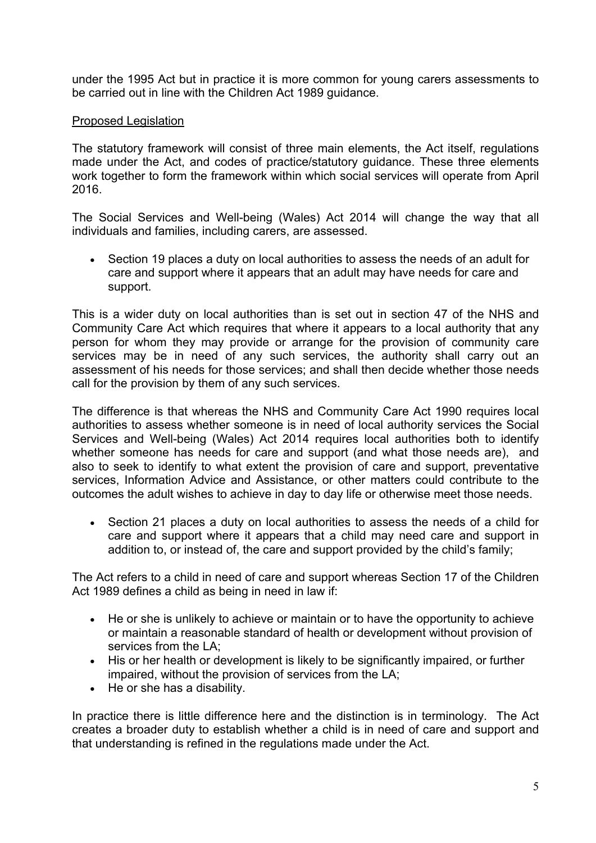under the 1995 Act but in practice it is more common for young carers assessments to be carried out in line with the Children Act 1989 guidance.

#### Proposed Legislation

The statutory framework will consist of three main elements, the Act itself, regulations made under the Act, and codes of practice/statutory guidance. These three elements work together to form the framework within which social services will operate from April 2016.

The Social Services and Well-being (Wales) Act 2014 will change the way that all individuals and families, including carers, are assessed.

 Section 19 places a duty on local authorities to assess the needs of an adult for care and support where it appears that an adult may have needs for care and support.

This is a wider duty on local authorities than is set out in section 47 of the NHS and Community Care Act which requires that where it appears to a local authority that any person for whom they may provide or arrange for the provision of community care services may be in need of any such services, the authority shall carry out an assessment of his needs for those services; and shall then decide whether those needs call for the provision by them of any such services.

The difference is that whereas the NHS and Community Care Act 1990 requires local authorities to assess whether someone is in need of local authority services the Social Services and Well-being (Wales) Act 2014 requires local authorities both to identify whether someone has needs for care and support (and what those needs are), and also to seek to identify to what extent the provision of care and support, preventative services, Information Advice and Assistance, or other matters could contribute to the outcomes the adult wishes to achieve in day to day life or otherwise meet those needs.

• Section 21 places a duty on local authorities to assess the needs of a child for care and support where it appears that a child may need care and support in addition to, or instead of, the care and support provided by the child's family;

The Act refers to a child in need of care and support whereas Section 17 of the Children Act 1989 defines a child as being in need in law if:

- He or she is unlikely to achieve or maintain or to have the opportunity to achieve or maintain a reasonable standard of health or development without provision of services from the LA;
- His or her health or development is likely to be significantly impaired, or further impaired, without the provision of services from the LA;
- He or she has a disability.

In practice there is little difference here and the distinction is in terminology. The Act creates a broader duty to establish whether a child is in need of care and support and that understanding is refined in the regulations made under the Act.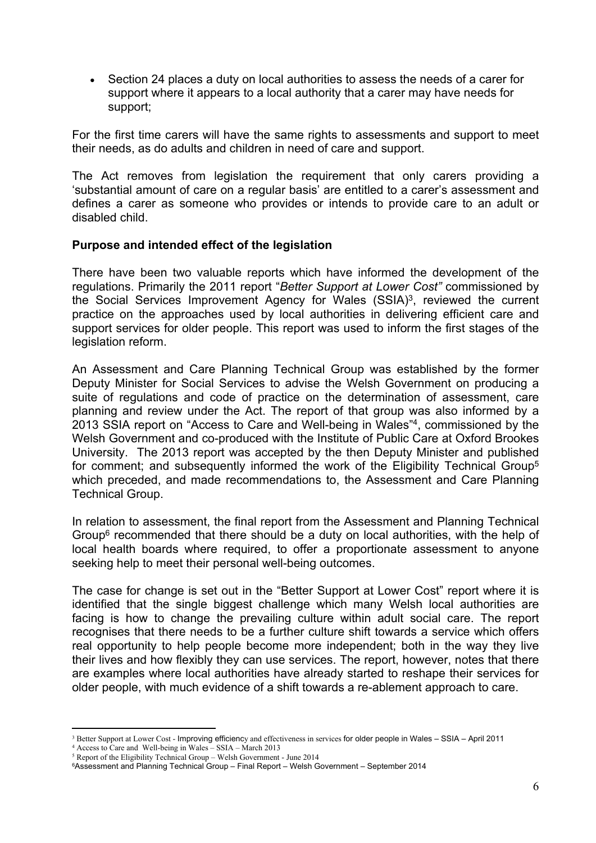Section 24 places a duty on local authorities to assess the needs of a carer for support where it appears to a local authority that a carer may have needs for support;

For the first time carers will have the same rights to assessments and support to meet their needs, as do adults and children in need of care and support.

The Act removes from legislation the requirement that only carers providing a 'substantial amount of care on a regular basis' are entitled to a carer's assessment and defines a carer as someone who provides or intends to provide care to an adult or disabled child.

#### **Purpose and intended effect of the legislation**

There have been two valuable reports which have informed the development of the regulations. Primarily the 2011 report "*Better Support at Lower Cost"* commissioned by the Social Services Improvement Agency for Wales (SSIA)<sup>3</sup>, reviewed the current practice on the approaches used by local authorities in delivering efficient care and support services for older people. This report was used to inform the first stages of the legislation reform.

An Assessment and Care Planning Technical Group was established by the former Deputy Minister for Social Services to advise the Welsh Government on producing a suite of regulations and code of practice on the determination of assessment, care planning and review under the Act. The report of that group was also informed by a 2013 SSIA report on "Access to Care and Well-being in Wales"<sup>4</sup> , commissioned by the Welsh Government and co-produced with the Institute of Public Care at Oxford Brookes University. The 2013 report was accepted by the then Deputy Minister and published for comment; and subsequently informed the work of the Eligibility Technical Group<sup>5</sup> which preceded, and made recommendations to, the Assessment and Care Planning Technical Group.

In relation to assessment, the final report from the Assessment and Planning Technical Group<sup>6</sup> recommended that there should be a duty on local authorities, with the help of local health boards where required, to offer a proportionate assessment to anyone seeking help to meet their personal well-being outcomes.

The case for change is set out in the "Better Support at Lower Cost" report where it is identified that the single biggest challenge which many Welsh local authorities are facing is how to change the prevailing culture within adult social care. The report recognises that there needs to be a further culture shift towards a service which offers real opportunity to help people become more independent; both in the way they live their lives and how flexibly they can use services. The report, however, notes that there are examples where local authorities have already started to reshape their services for older people, with much evidence of a shift towards a re-ablement approach to care.

<sup>3</sup> Better Support at Lower Cost - Improving efficiency and effectiveness in services for older people in Wales – SSIA – April 2011

<sup>4</sup> Access to Care and Well-being in Wales – SSIA – March 2013

 $5$  Report of the Eligibility Technical Group – Welsh Government - June 2014 <sup>6</sup>Assessment and Planning Technical Group – Final Report – Welsh Government – September 2014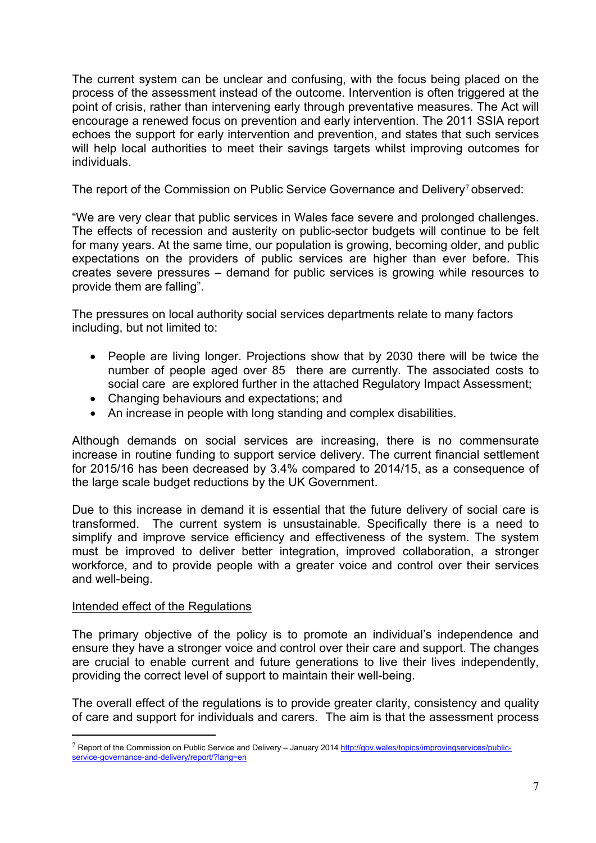The current system can be unclear and confusing, with the focus being placed on the process of the assessment instead of the outcome. Intervention is often triggered at the point of crisis, rather than intervening early through preventative measures. The Act will encourage a renewed focus on prevention and early intervention. The 2011 SSIA report echoes the support for early intervention and prevention, and states that such services will help local authorities to meet their savings targets whilst improving outcomes for individuals.

The report of the Commission on Public Service Governance and Delivery<sup>7</sup> observed:

"We are very clear that public services in Wales face severe and prolonged challenges. The effects of recession and austerity on public-sector budgets will continue to be felt for many years. At the same time, our population is growing, becoming older, and public expectations on the providers of public services are higher than ever before. This creates severe pressures – demand for public services is growing while resources to provide them are falling".

The pressures on local authority social services departments relate to many factors including, but not limited to:

- People are living longer. Projections show that by 2030 there will be twice the number of people aged over 85 there are currently. The associated costs to social care are explored further in the attached Regulatory Impact Assessment;
- Changing behaviours and expectations; and
- An increase in people with long standing and complex disabilities.

Although demands on social services are increasing, there is no commensurate increase in routine funding to support service delivery. The current financial settlement for 2015/16 has been decreased by 3.4% compared to 2014/15, as a consequence of the large scale budget reductions by the UK Government.

Due to this increase in demand it is essential that the future delivery of social care is transformed. The current system is unsustainable. Specifically there is a need to simplify and improve service efficiency and effectiveness of the system. The system must be improved to deliver better integration, improved collaboration, a stronger workforce, and to provide people with a greater voice and control over their services and well-being.

#### Intended effect of the Regulations

The primary objective of the policy is to promote an individual's independence and ensure they have a stronger voice and control over their care and support. The changes are crucial to enable current and future generations to live their lives independently, providing the correct level of support to maintain their well-being.

The overall effect of the regulations is to provide greater clarity, consistency and quality of care and support for individuals and carers. The aim is that the assessment process

<sup>7</sup> Report of the Commission on Public Service and Delivery – January 2014 [http://gov.wales/topics/improvingservices/public](http://gov.wales/topics/improvingservices/public-service-governance-and-delivery/report/?lang=en)[service-governance-and-delivery/report/?lang=en](http://gov.wales/topics/improvingservices/public-service-governance-and-delivery/report/?lang=en)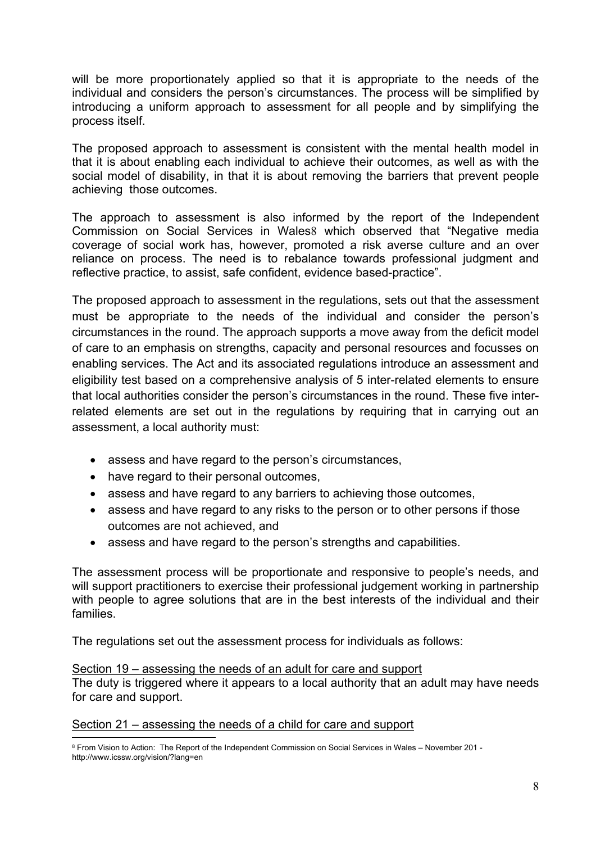will be more proportionately applied so that it is appropriate to the needs of the individual and considers the person's circumstances. The process will be simplified by introducing a uniform approach to assessment for all people and by simplifying the process itself.

The proposed approach to assessment is consistent with the mental health model in that it is about enabling each individual to achieve their outcomes, as well as with the social model of disability, in that it is about removing the barriers that prevent people achieving those outcomes.

The approach to assessment is also informed by the report of the Independent Commission on Social Services in Wales8 which observed that "Negative media coverage of social work has, however, promoted a risk averse culture and an over reliance on process. The need is to rebalance towards professional judgment and reflective practice, to assist, safe confident, evidence based-practice".

The proposed approach to assessment in the regulations, sets out that the assessment must be appropriate to the needs of the individual and consider the person's circumstances in the round. The approach supports a move away from the deficit model of care to an emphasis on strengths, capacity and personal resources and focusses on enabling services. The Act and its associated regulations introduce an assessment and eligibility test based on a comprehensive analysis of 5 inter-related elements to ensure that local authorities consider the person's circumstances in the round. These five interrelated elements are set out in the regulations by requiring that in carrying out an assessment, a local authority must:

- assess and have regard to the person's circumstances,
- have regard to their personal outcomes,
- assess and have regard to any barriers to achieving those outcomes,
- assess and have regard to any risks to the person or to other persons if those outcomes are not achieved, and
- assess and have regard to the person's strengths and capabilities.

The assessment process will be proportionate and responsive to people's needs, and will support practitioners to exercise their professional judgement working in partnership with people to agree solutions that are in the best interests of the individual and their families.

The regulations set out the assessment process for individuals as follows:

#### Section 19 – assessing the needs of an adult for care and support The duty is triggered where it appears to a local authority that an adult may have needs

for care and support.

#### Section 21 – assessing the needs of a child for care and support

<sup>8</sup> From Vision to Action: The Report of the Independent Commission on Social Services in Wales – November 201 http://www.icssw.org/vision/?lang=en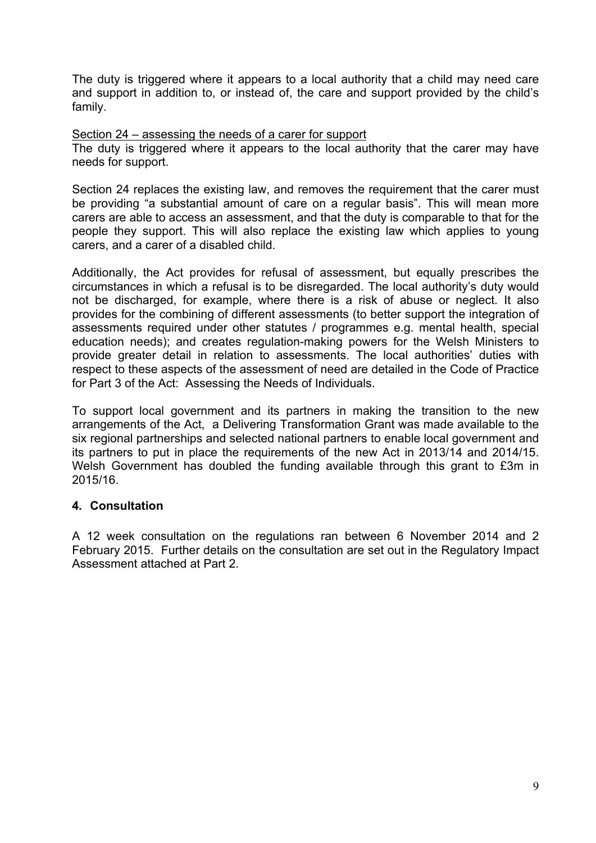The duty is triggered where it appears to a local authority that a child may need care and support in addition to, or instead of, the care and support provided by the child's family.

Section 24 – assessing the needs of a carer for support

The duty is triggered where it appears to the local authority that the carer may have needs for support.

Section 24 replaces the existing law, and removes the requirement that the carer must be providing "a substantial amount of care on a regular basis". This will mean more carers are able to access an assessment, and that the duty is comparable to that for the people they support. This will also replace the existing law which applies to young carers, and a carer of a disabled child.

Additionally, the Act provides for refusal of assessment, but equally prescribes the circumstances in which a refusal is to be disregarded. The local authority's duty would not be discharged, for example, where there is a risk of abuse or neglect. It also provides for the combining of different assessments (to better support the integration of assessments required under other statutes / programmes e.g. mental health, special education needs); and creates regulation-making powers for the Welsh Ministers to provide greater detail in relation to assessments. The local authorities' duties with respect to these aspects of the assessment of need are detailed in the Code of Practice for Part 3 of the Act: Assessing the Needs of Individuals.

To support local government and its partners in making the transition to the new arrangements of the Act, a Delivering Transformation Grant was made available to the six regional partnerships and selected national partners to enable local government and its partners to put in place the requirements of the new Act in 2013/14 and 2014/15. Welsh Government has doubled the funding available through this grant to £3m in 2015/16.

#### **4. Consultation**

A 12 week consultation on the regulations ran between 6 November 2014 and 2 February 2015. Further details on the consultation are set out in the Regulatory Impact Assessment attached at Part 2.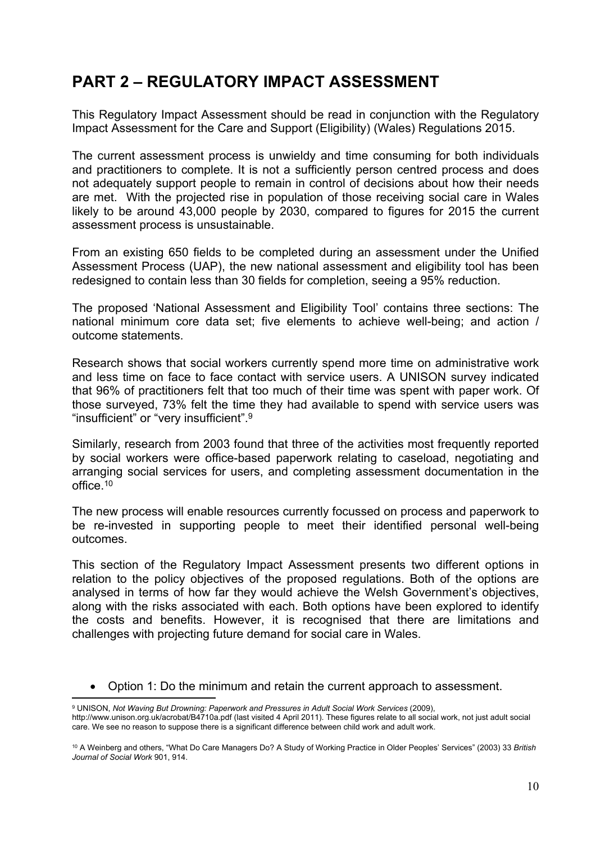## **PART 2 – REGULATORY IMPACT ASSESSMENT**

This Regulatory Impact Assessment should be read in conjunction with the Regulatory Impact Assessment for the Care and Support (Eligibility) (Wales) Regulations 2015.

The current assessment process is unwieldy and time consuming for both individuals and practitioners to complete. It is not a sufficiently person centred process and does not adequately support people to remain in control of decisions about how their needs are met. With the projected rise in population of those receiving social care in Wales likely to be around 43,000 people by 2030, compared to figures for 2015 the current assessment process is unsustainable.

From an existing 650 fields to be completed during an assessment under the Unified Assessment Process (UAP), the new national assessment and eligibility tool has been redesigned to contain less than 30 fields for completion, seeing a 95% reduction.

The proposed 'National Assessment and Eligibility Tool' contains three sections: The national minimum core data set; five elements to achieve well-being; and action / outcome statements.

Research shows that social workers currently spend more time on administrative work and less time on face to face contact with service users. A UNISON survey indicated that 96% of practitioners felt that too much of their time was spent with paper work. Of those surveyed, 73% felt the time they had available to spend with service users was "insufficient" or "very insufficient".<sup>9</sup>

Similarly, research from 2003 found that three of the activities most frequently reported by social workers were office-based paperwork relating to caseload, negotiating and arranging social services for users, and completing assessment documentation in the office.<sup>10</sup>

The new process will enable resources currently focussed on process and paperwork to be re-invested in supporting people to meet their identified personal well-being outcomes.

This section of the Regulatory Impact Assessment presents two different options in relation to the policy objectives of the proposed regulations. Both of the options are analysed in terms of how far they would achieve the Welsh Government's objectives, along with the risks associated with each. Both options have been explored to identify the costs and benefits. However, it is recognised that there are limitations and challenges with projecting future demand for social care in Wales.

Option 1: Do the minimum and retain the current approach to assessment.

<sup>9</sup> UNISON, *Not Waving But Drowning: Paperwork and Pressures in Adult Social Work Services* (2009),

http://www.unison.org.uk/acrobat/B4710a.pdf (last visited 4 April 2011). These figures relate to all social work, not just adult social care. We see no reason to suppose there is a significant difference between child work and adult work.

<sup>10</sup> A Weinberg and others, "What Do Care Managers Do? A Study of Working Practice in Older Peoples' Services" (2003) 33 *British Journal of Social Work* 901, 914.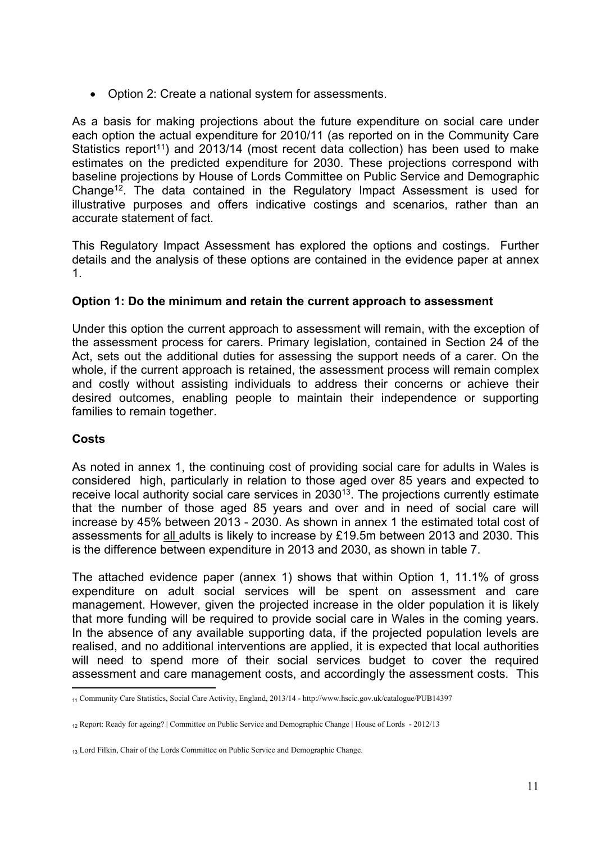• Option 2: Create a national system for assessments.

As a basis for making projections about the future expenditure on social care under each option the actual expenditure for 2010/11 (as reported on in the Community Care Statistics report<sup>11</sup>) and 2013/14 (most recent data collection) has been used to make estimates on the predicted expenditure for 2030. These projections correspond with baseline projections by House of Lords Committee on Public Service and Demographic Change<sup>12</sup>. The data contained in the Regulatory Impact Assessment is used for illustrative purposes and offers indicative costings and scenarios, rather than an accurate statement of fact.

This Regulatory Impact Assessment has explored the options and costings. Further details and the analysis of these options are contained in the evidence paper at annex 1.

#### **Option 1: Do the minimum and retain the current approach to assessment**

Under this option the current approach to assessment will remain, with the exception of the assessment process for carers. Primary legislation, contained in Section 24 of the Act, sets out the additional duties for assessing the support needs of a carer. On the whole, if the current approach is retained, the assessment process will remain complex and costly without assisting individuals to address their concerns or achieve their desired outcomes, enabling people to maintain their independence or supporting families to remain together.

#### **Costs**

As noted in annex 1, the continuing cost of providing social care for adults in Wales is considered high, particularly in relation to those aged over 85 years and expected to receive local authority social care services in 2030<sup>13</sup>. The projections currently estimate that the number of those aged 85 years and over and in need of social care will increase by 45% between 2013 - 2030. As shown in annex 1 the estimated total cost of assessments for all adults is likely to increase by £19.5m between 2013 and 2030. This is the difference between expenditure in 2013 and 2030, as shown in table 7.

The attached evidence paper (annex 1) shows that within Option 1, 11.1% of gross expenditure on adult social services will be spent on assessment and care management. However, given the projected increase in the older population it is likely that more funding will be required to provide social care in Wales in the coming years. In the absence of any available supporting data, if the projected population levels are realised, and no additional interventions are applied, it is expected that local authorities will need to spend more of their social services budget to cover the required assessment and care management costs, and accordingly the assessment costs. This

<sup>11</sup> Community Care Statistics, Social Care Activity, England, 2013/14 - http://www.hscic.gov.uk/catalogue/PUB14397

<sup>12</sup> Report: Ready for ageing? | Committee on Public Service and Demographic Change | House of Lords - 2012/13

<sup>&</sup>lt;sub>13</sub> Lord Filkin, Chair of the Lords Committee on Public Service and Demographic Change.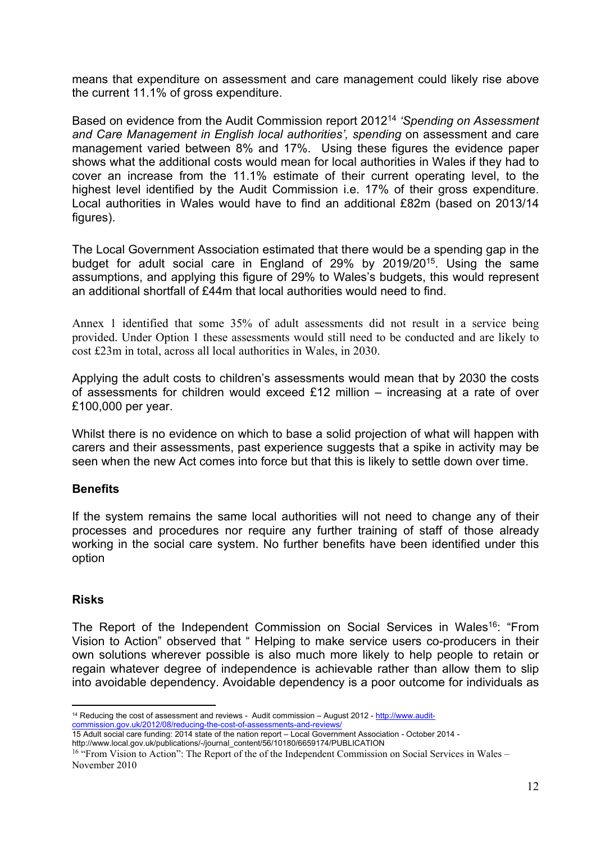means that expenditure on assessment and care management could likely rise above the current 11.1% of gross expenditure.

Based on evidence from the Audit Commission report 2012<sup>14</sup> *'Spending on Assessment and Care Management in English local authorities', spending* on assessment and care management varied between 8% and 17%. Using these figures the evidence paper shows what the additional costs would mean for local authorities in Wales if they had to cover an increase from the 11.1% estimate of their current operating level, to the highest level identified by the Audit Commission i.e. 17% of their gross expenditure. Local authorities in Wales would have to find an additional £82m (based on 2013/14 figures).

The Local Government Association estimated that there would be a spending gap in the budget for adult social care in England of 29% by 2019/20<sup>15</sup>. Using the same assumptions, and applying this figure of 29% to Wales's budgets, this would represent an additional shortfall of £44m that local authorities would need to find.

Annex 1 identified that some 35% of adult assessments did not result in a service being provided. Under Option 1 these assessments would still need to be conducted and are likely to cost £23m in total, across all local authorities in Wales, in 2030.

Applying the adult costs to children's assessments would mean that by 2030 the costs of assessments for children would exceed £12 million – increasing at a rate of over £100,000 per year.

Whilst there is no evidence on which to base a solid projection of what will happen with carers and their assessments, past experience suggests that a spike in activity may be seen when the new Act comes into force but that this is likely to settle down over time.

#### **Benefits**

If the system remains the same local authorities will not need to change any of their processes and procedures nor require any further training of staff of those already working in the social care system. No further benefits have been identified under this option

#### **Risks**

The Report of the Independent Commission on Social Services in Wales<sup>16</sup>: "From Vision to Action" observed that " Helping to make service users co-producers in their own solutions wherever possible is also much more likely to help people to retain or regain whatever degree of independence is achievable rather than allow them to slip into avoidable dependency. Avoidable dependency is a poor outcome for individuals as

<sup>&</sup>lt;sup>14</sup> Reducing the cost of assessment and reviews - Audit commission – August 2012 - [http://www.audit](http://www.audit-commission.gov.uk/2012/08/reducing-the-cost-of-assessments-and-reviews/)[commission.gov.uk/2012/08/reducing-the-cost-of-assessments-and-reviews/](http://www.audit-commission.gov.uk/2012/08/reducing-the-cost-of-assessments-and-reviews/) 15 Adult social care funding: 2014 state of the nation report – Local Government Association - October 2014 -

http://www.local.gov.uk/publications/-/journal\_content/56/10180/6659174/PUBLICATION

<sup>&</sup>lt;sup>16</sup> "From Vision to Action": The Report of the of the Independent Commission on Social Services in Wales – November 2010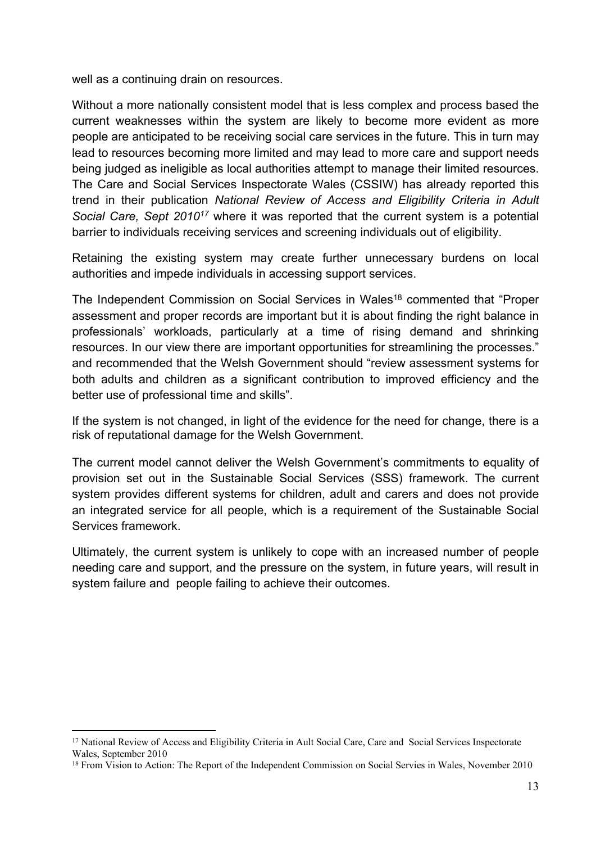well as a continuing drain on resources.

Without a more nationally consistent model that is less complex and process based the current weaknesses within the system are likely to become more evident as more people are anticipated to be receiving social care services in the future. This in turn may lead to resources becoming more limited and may lead to more care and support needs being judged as ineligible as local authorities attempt to manage their limited resources. The Care and Social Services Inspectorate Wales (CSSIW) has already reported this trend in their publication *National Review of Access and Eligibility Criteria in Adult Social Care, Sept 2010<sup>17</sup>* where it was reported that the current system is a potential barrier to individuals receiving services and screening individuals out of eligibility.

Retaining the existing system may create further unnecessary burdens on local authorities and impede individuals in accessing support services.

The Independent Commission on Social Services in Wales<sup>18</sup> commented that "Proper assessment and proper records are important but it is about finding the right balance in professionals' workloads, particularly at a time of rising demand and shrinking resources. In our view there are important opportunities for streamlining the processes." and recommended that the Welsh Government should "review assessment systems for both adults and children as a significant contribution to improved efficiency and the better use of professional time and skills".

If the system is not changed, in light of the evidence for the need for change, there is a risk of reputational damage for the Welsh Government.

The current model cannot deliver the Welsh Government's commitments to equality of provision set out in the Sustainable Social Services (SSS) framework. The current system provides different systems for children, adult and carers and does not provide an integrated service for all people, which is a requirement of the Sustainable Social Services framework.

Ultimately, the current system is unlikely to cope with an increased number of people needing care and support, and the pressure on the system, in future years, will result in system failure and people failing to achieve their outcomes.

<sup>&</sup>lt;sup>17</sup> National Review of Access and Eligibility Criteria in Ault Social Care, Care and Social Services Inspectorate Wales, September 2010

<sup>&</sup>lt;sup>18</sup> From Vision to Action: The Report of the Independent Commission on Social Servies in Wales, November 2010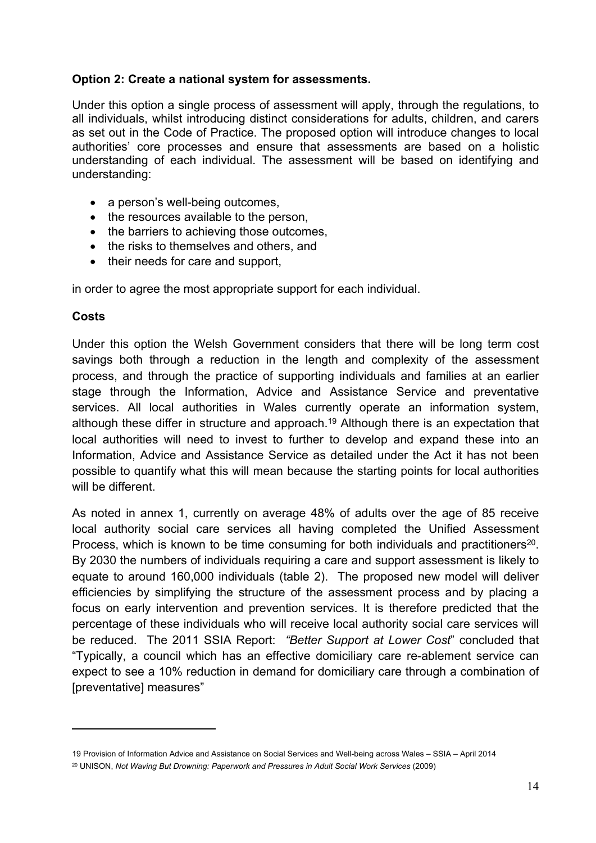#### **Option 2: Create a national system for assessments.**

Under this option a single process of assessment will apply, through the regulations, to all individuals, whilst introducing distinct considerations for adults, children, and carers as set out in the Code of Practice. The proposed option will introduce changes to local authorities' core processes and ensure that assessments are based on a holistic understanding of each individual. The assessment will be based on identifying and understanding:

- a person's well-being outcomes,
- the resources available to the person,
- the barriers to achieving those outcomes.
- the risks to themselves and others, and
- their needs for care and support.

in order to agree the most appropriate support for each individual.

#### **Costs**

Under this option the Welsh Government considers that there will be long term cost savings both through a reduction in the length and complexity of the assessment process, and through the practice of supporting individuals and families at an earlier stage through the Information, Advice and Assistance Service and preventative services. All local authorities in Wales currently operate an information system, although these differ in structure and approach.<sup>19</sup> Although there is an expectation that local authorities will need to invest to further to develop and expand these into an Information, Advice and Assistance Service as detailed under the Act it has not been possible to quantify what this will mean because the starting points for local authorities will be different.

As noted in annex 1, currently on average 48% of adults over the age of 85 receive local authority social care services all having completed the Unified Assessment Process, which is known to be time consuming for both individuals and practitioners<sup>20</sup>. By 2030 the numbers of individuals requiring a care and support assessment is likely to equate to around 160,000 individuals (table 2). The proposed new model will deliver efficiencies by simplifying the structure of the assessment process and by placing a focus on early intervention and prevention services. It is therefore predicted that the percentage of these individuals who will receive local authority social care services will be reduced. The 2011 SSIA Report: *"Better Support at Lower Cost*" concluded that "Typically, a council which has an effective domiciliary care re-ablement service can expect to see a 10% reduction in demand for domiciliary care through a combination of [preventative] measures"

<sup>19</sup> Provision of Information Advice and Assistance on Social Services and Well-being across Wales – SSIA – April 2014

<sup>20</sup> UNISON, *Not Waving But Drowning: Paperwork and Pressures in Adult Social Work Services* (2009)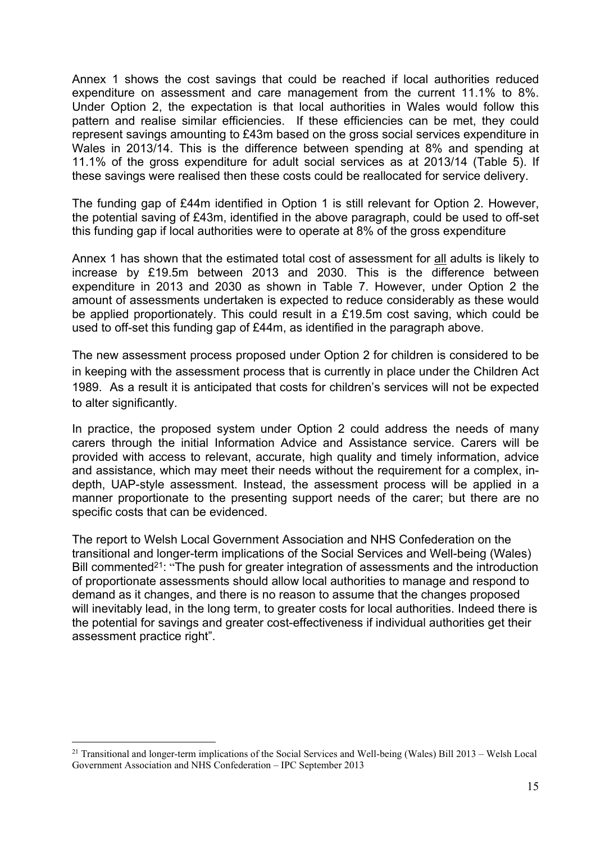Annex 1 shows the cost savings that could be reached if local authorities reduced expenditure on assessment and care management from the current 11.1% to 8%. Under Option 2, the expectation is that local authorities in Wales would follow this pattern and realise similar efficiencies. If these efficiencies can be met, they could represent savings amounting to £43m based on the gross social services expenditure in Wales in 2013/14. This is the difference between spending at 8% and spending at 11.1% of the gross expenditure for adult social services as at 2013/14 (Table 5). If these savings were realised then these costs could be reallocated for service delivery.

The funding gap of £44m identified in Option 1 is still relevant for Option 2. However, the potential saving of £43m, identified in the above paragraph, could be used to off-set this funding gap if local authorities were to operate at 8% of the gross expenditure

Annex 1 has shown that the estimated total cost of assessment for all adults is likely to increase by £19.5m between 2013 and 2030. This is the difference between expenditure in 2013 and 2030 as shown in Table 7. However, under Option 2 the amount of assessments undertaken is expected to reduce considerably as these would be applied proportionately. This could result in a £19.5m cost saving, which could be used to off-set this funding gap of £44m, as identified in the paragraph above.

The new assessment process proposed under Option 2 for children is considered to be in keeping with the assessment process that is currently in place under the Children Act 1989. As a result it is anticipated that costs for children's services will not be expected to alter significantly.

In practice, the proposed system under Option 2 could address the needs of many carers through the initial Information Advice and Assistance service. Carers will be provided with access to relevant, accurate, high quality and timely information, advice and assistance, which may meet their needs without the requirement for a complex, indepth, UAP-style assessment. Instead, the assessment process will be applied in a manner proportionate to the presenting support needs of the carer; but there are no specific costs that can be evidenced.

The report to Welsh Local Government Association and NHS Confederation on the transitional and longer-term implications of the Social Services and Well-being (Wales) Bill commented<sup>21</sup>: "The push for greater integration of assessments and the introduction of proportionate assessments should allow local authorities to manage and respond to demand as it changes, and there is no reason to assume that the changes proposed will inevitably lead, in the long term, to greater costs for local authorities. Indeed there is the potential for savings and greater cost-effectiveness if individual authorities get their assessment practice right".

 $21$  Transitional and longer-term implications of the Social Services and Well-being (Wales) Bill 2013 – Welsh Local Government Association and NHS Confederation – IPC September 2013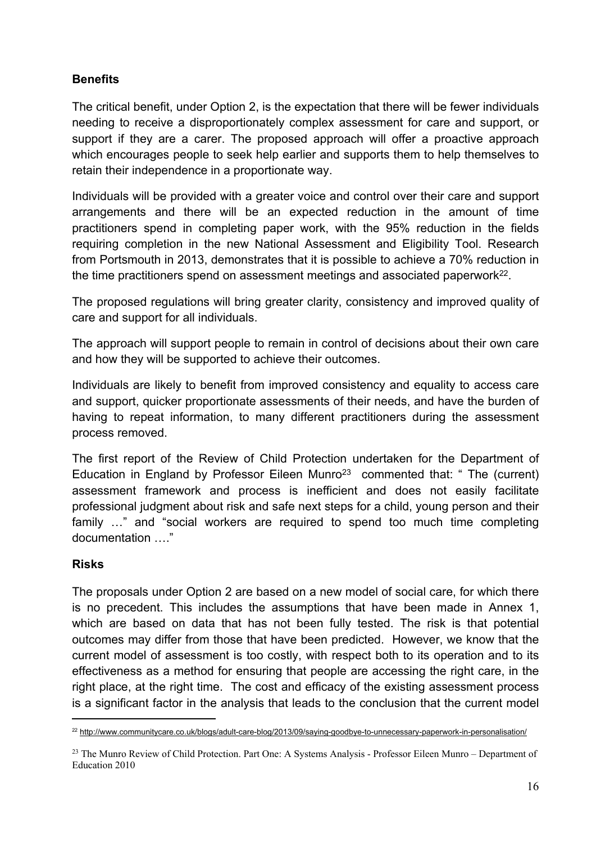#### **Benefits**

The critical benefit, under Option 2, is the expectation that there will be fewer individuals needing to receive a disproportionately complex assessment for care and support, or support if they are a carer. The proposed approach will offer a proactive approach which encourages people to seek help earlier and supports them to help themselves to retain their independence in a proportionate way.

Individuals will be provided with a greater voice and control over their care and support arrangements and there will be an expected reduction in the amount of time practitioners spend in completing paper work, with the 95% reduction in the fields requiring completion in the new National Assessment and Eligibility Tool. Research from Portsmouth in 2013, demonstrates that it is possible to achieve a 70% reduction in the time practitioners spend on assessment meetings and associated paperwork<sup>22</sup>.

The proposed regulations will bring greater clarity, consistency and improved quality of care and support for all individuals.

The approach will support people to remain in control of decisions about their own care and how they will be supported to achieve their outcomes.

Individuals are likely to benefit from improved consistency and equality to access care and support, quicker proportionate assessments of their needs, and have the burden of having to repeat information, to many different practitioners during the assessment process removed.

The first report of the Review of Child Protection undertaken for the Department of Education in England by Professor Eileen Munro<sup>23</sup> commented that: " The (current) assessment framework and process is inefficient and does not easily facilitate professional judgment about risk and safe next steps for a child, young person and their family …" and "social workers are required to spend too much time completing documentation  $\ddot{\hspace{1cm}}$ "

#### **Risks**

The proposals under Option 2 are based on a new model of social care, for which there is no precedent. This includes the assumptions that have been made in Annex 1, which are based on data that has not been fully tested. The risk is that potential outcomes may differ from those that have been predicted. However, we know that the current model of assessment is too costly, with respect both to its operation and to its effectiveness as a method for ensuring that people are accessing the right care, in the right place, at the right time. The cost and efficacy of the existing assessment process is a significant factor in the analysis that leads to the conclusion that the current model

<sup>22</sup> <http://www.communitycare.co.uk/blogs/adult-care-blog/2013/09/saying-goodbye-to-unnecessary-paperwork-in-personalisation/>

<sup>23</sup> The Munro Review of Child Protection. Part One: A Systems Analysis - Professor Eileen Munro – Department of Education 2010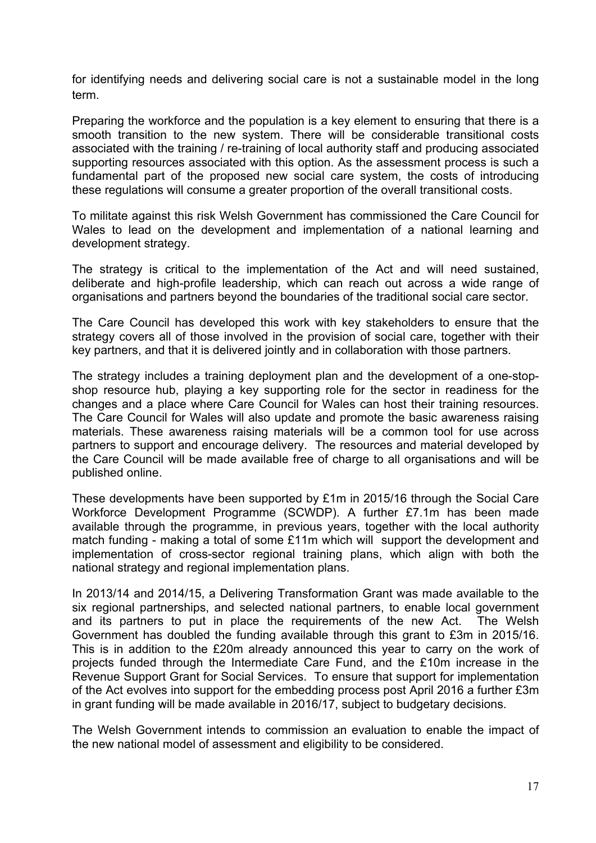for identifying needs and delivering social care is not a sustainable model in the long term.

Preparing the workforce and the population is a key element to ensuring that there is a smooth transition to the new system. There will be considerable transitional costs associated with the training / re-training of local authority staff and producing associated supporting resources associated with this option. As the assessment process is such a fundamental part of the proposed new social care system, the costs of introducing these regulations will consume a greater proportion of the overall transitional costs.

To militate against this risk Welsh Government has commissioned the Care Council for Wales to lead on the development and implementation of a national learning and development strategy.

The strategy is critical to the implementation of the Act and will need sustained, deliberate and high-profile leadership, which can reach out across a wide range of organisations and partners beyond the boundaries of the traditional social care sector.

The Care Council has developed this work with key stakeholders to ensure that the strategy covers all of those involved in the provision of social care, together with their key partners, and that it is delivered jointly and in collaboration with those partners.

The strategy includes a training deployment plan and the development of a one-stopshop resource hub, playing a key supporting role for the sector in readiness for the changes and a place where Care Council for Wales can host their training resources. The Care Council for Wales will also update and promote the basic awareness raising materials. These awareness raising materials will be a common tool for use across partners to support and encourage delivery. The resources and material developed by the Care Council will be made available free of charge to all organisations and will be published online.

These developments have been supported by £1m in 2015/16 through the Social Care Workforce Development Programme (SCWDP). A further £7.1m has been made available through the programme, in previous years, together with the local authority match funding - making a total of some £11m which will support the development and implementation of cross-sector regional training plans, which align with both the national strategy and regional implementation plans.

In 2013/14 and 2014/15, a Delivering Transformation Grant was made available to the six regional partnerships, and selected national partners, to enable local government and its partners to put in place the requirements of the new Act. The Welsh Government has doubled the funding available through this grant to £3m in 2015/16. This is in addition to the £20m already announced this year to carry on the work of projects funded through the Intermediate Care Fund, and the £10m increase in the Revenue Support Grant for Social Services. To ensure that support for implementation of the Act evolves into support for the embedding process post April 2016 a further £3m in grant funding will be made available in 2016/17, subject to budgetary decisions.

The Welsh Government intends to commission an evaluation to enable the impact of the new national model of assessment and eligibility to be considered.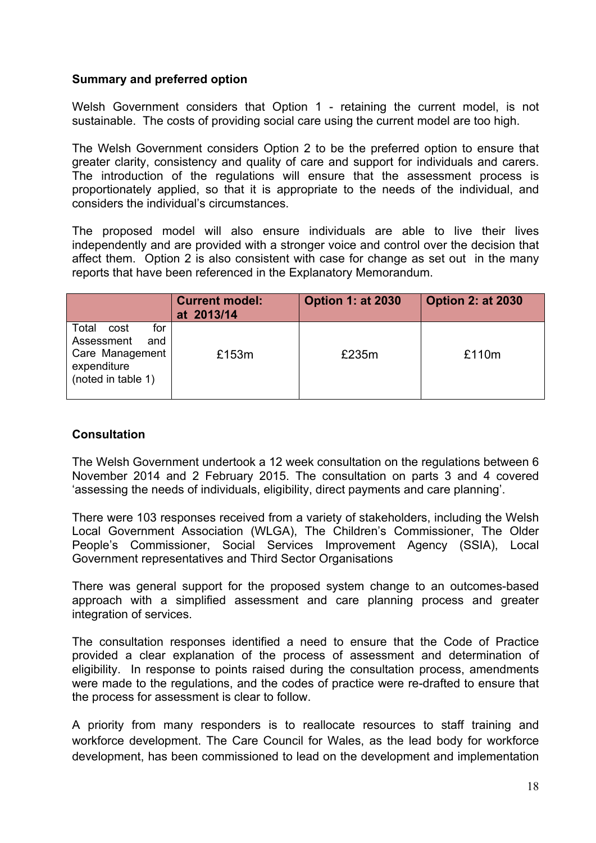#### **Summary and preferred option**

Welsh Government considers that Option 1 - retaining the current model, is not sustainable. The costs of providing social care using the current model are too high.

The Welsh Government considers Option 2 to be the preferred option to ensure that greater clarity, consistency and quality of care and support for individuals and carers. The introduction of the regulations will ensure that the assessment process is proportionately applied, so that it is appropriate to the needs of the individual, and considers the individual's circumstances.

The proposed model will also ensure individuals are able to live their lives independently and are provided with a stronger voice and control over the decision that affect them. Option 2 is also consistent with case for change as set out in the many reports that have been referenced in the Explanatory Memorandum.

|                                                                                                   | <b>Current model:</b><br>at 2013/14 | <b>Option 1: at 2030</b> | <b>Option 2: at 2030</b> |
|---------------------------------------------------------------------------------------------------|-------------------------------------|--------------------------|--------------------------|
| Total<br>for<br>cost<br>Assessment<br>and<br>Care Management<br>expenditure<br>(noted in table 1) | £153m                               | £235m                    | £110m                    |

#### **Consultation**

The Welsh Government undertook a 12 week consultation on the regulations between 6 November 2014 and 2 February 2015. The consultation on parts 3 and 4 covered 'assessing the needs of individuals, eligibility, direct payments and care planning'.

There were 103 responses received from a variety of stakeholders, including the Welsh Local Government Association (WLGA), The Children's Commissioner, The Older People's Commissioner, Social Services Improvement Agency (SSIA), Local Government representatives and Third Sector Organisations

There was general support for the proposed system change to an outcomes-based approach with a simplified assessment and care planning process and greater integration of services.

The consultation responses identified a need to ensure that the Code of Practice provided a clear explanation of the process of assessment and determination of eligibility. In response to points raised during the consultation process, amendments were made to the regulations, and the codes of practice were re-drafted to ensure that the process for assessment is clear to follow.

A priority from many responders is to reallocate resources to staff training and workforce development. The Care Council for Wales, as the lead body for workforce development, has been commissioned to lead on the development and implementation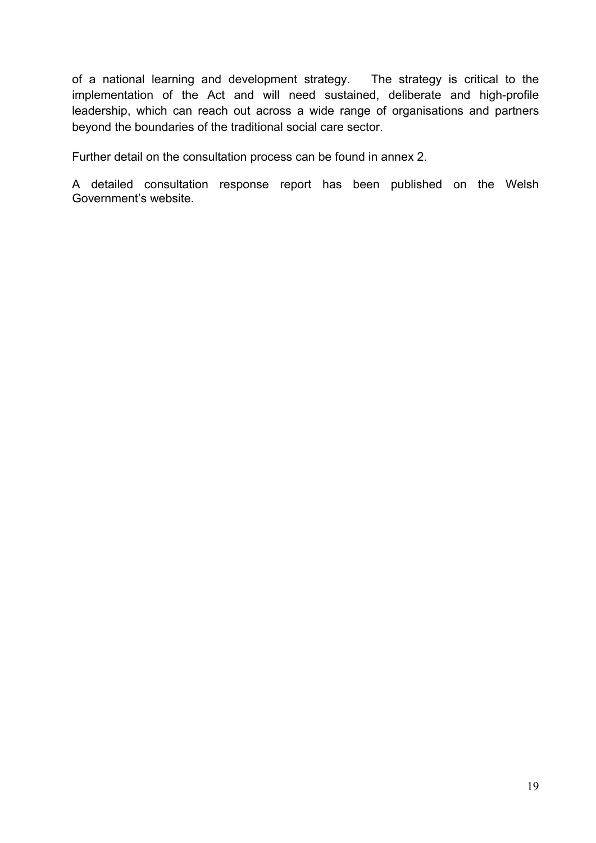of a national learning and development strategy. The strategy is critical to the implementation of the Act and will need sustained, deliberate and high-profile leadership, which can reach out across a wide range of organisations and partners beyond the boundaries of the traditional social care sector.

Further detail on the consultation process can be found in annex 2.

A detailed consultation response report has been published on the Welsh Government's website.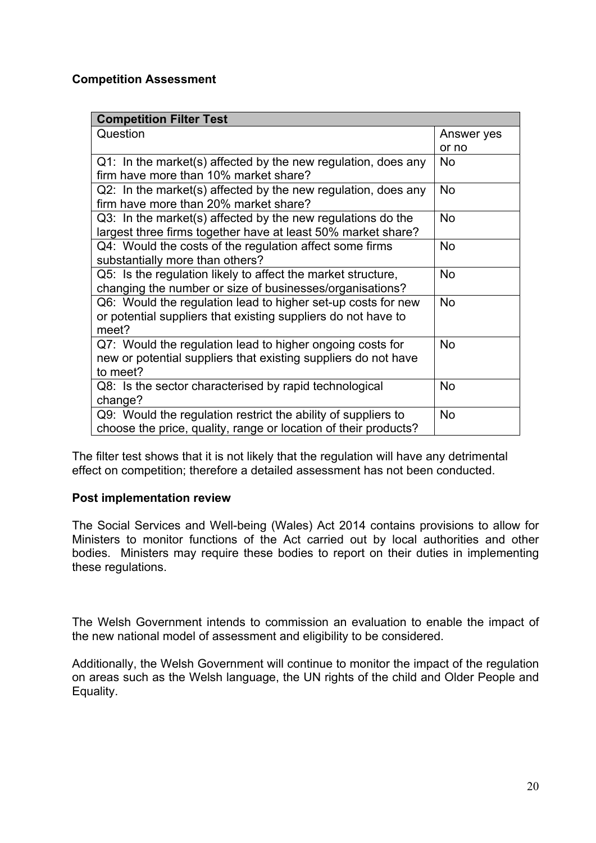#### **Competition Assessment**

| <b>Competition Filter Test</b>                                  |            |
|-----------------------------------------------------------------|------------|
| Question                                                        | Answer yes |
|                                                                 | or no      |
| Q1: In the market(s) affected by the new regulation, does any   | <b>No</b>  |
| firm have more than 10% market share?                           |            |
| Q2: In the market(s) affected by the new regulation, does any   | <b>No</b>  |
| firm have more than 20% market share?                           |            |
| Q3: In the market(s) affected by the new regulations do the     | <b>No</b>  |
| largest three firms together have at least 50% market share?    |            |
| Q4: Would the costs of the regulation affect some firms         | No         |
| substantially more than others?                                 |            |
| Q5: Is the regulation likely to affect the market structure,    | <b>No</b>  |
| changing the number or size of businesses/organisations?        |            |
| Q6: Would the regulation lead to higher set-up costs for new    | <b>No</b>  |
| or potential suppliers that existing suppliers do not have to   |            |
| meet?                                                           |            |
| Q7: Would the regulation lead to higher ongoing costs for       | <b>No</b>  |
| new or potential suppliers that existing suppliers do not have  |            |
| to meet?                                                        |            |
| Q8: Is the sector characterised by rapid technological          | <b>No</b>  |
| change?                                                         |            |
| Q9: Would the regulation restrict the ability of suppliers to   | <b>No</b>  |
| choose the price, quality, range or location of their products? |            |

The filter test shows that it is not likely that the regulation will have any detrimental effect on competition; therefore a detailed assessment has not been conducted.

#### **Post implementation review**

The Social Services and Well-being (Wales) Act 2014 contains provisions to allow for Ministers to monitor functions of the Act carried out by local authorities and other bodies. Ministers may require these bodies to report on their duties in implementing these regulations.

The Welsh Government intends to commission an evaluation to enable the impact of the new national model of assessment and eligibility to be considered.

Additionally, the Welsh Government will continue to monitor the impact of the regulation on areas such as the Welsh language, the UN rights of the child and Older People and Equality.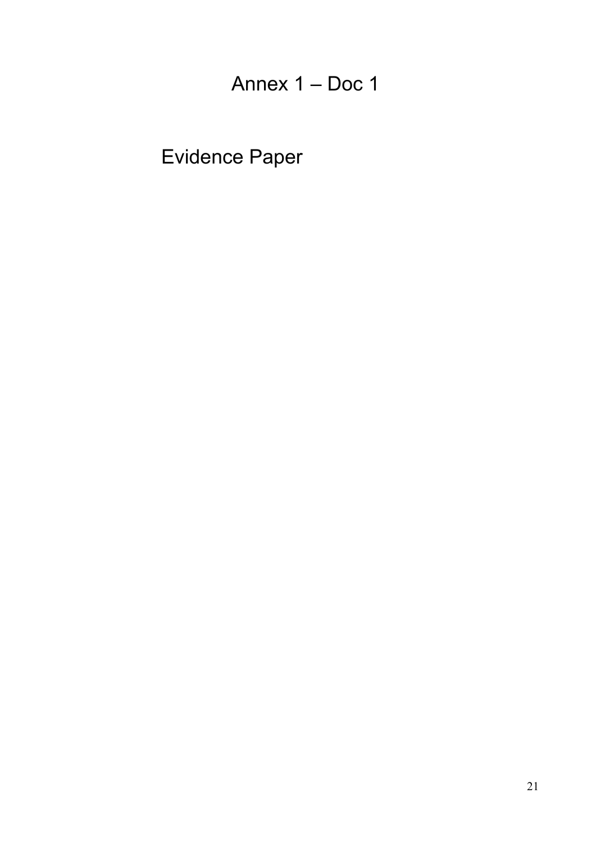Annex 1 – Doc 1

Evidence Paper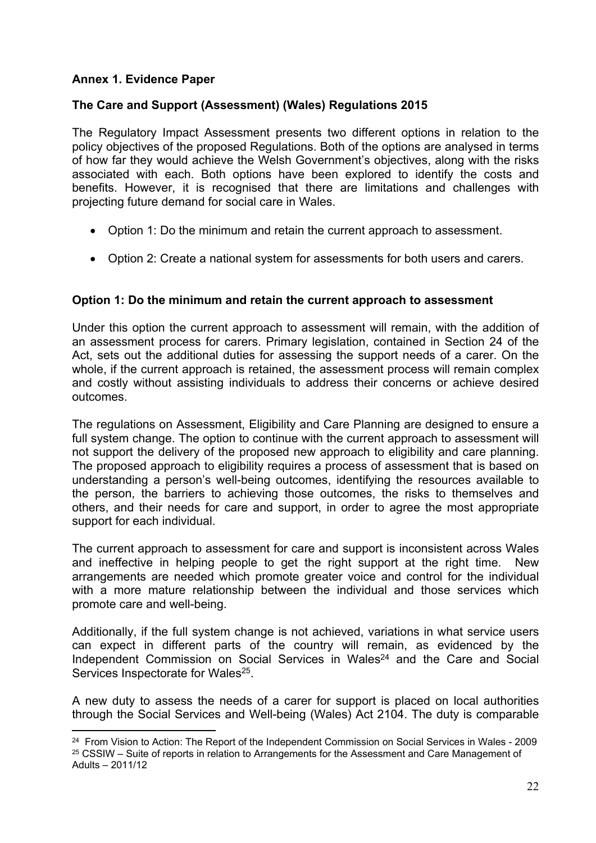#### **Annex 1. Evidence Paper**

#### **The Care and Support (Assessment) (Wales) Regulations 2015**

The Regulatory Impact Assessment presents two different options in relation to the policy objectives of the proposed Regulations. Both of the options are analysed in terms of how far they would achieve the Welsh Government's objectives, along with the risks associated with each. Both options have been explored to identify the costs and benefits. However, it is recognised that there are limitations and challenges with projecting future demand for social care in Wales.

- Option 1: Do the minimum and retain the current approach to assessment.
- Option 2: Create a national system for assessments for both users and carers.

#### **Option 1: Do the minimum and retain the current approach to assessment**

Under this option the current approach to assessment will remain, with the addition of an assessment process for carers. Primary legislation, contained in Section 24 of the Act, sets out the additional duties for assessing the support needs of a carer. On the whole, if the current approach is retained, the assessment process will remain complex and costly without assisting individuals to address their concerns or achieve desired outcomes.

The regulations on Assessment, Eligibility and Care Planning are designed to ensure a full system change. The option to continue with the current approach to assessment will not support the delivery of the proposed new approach to eligibility and care planning. The proposed approach to eligibility requires a process of assessment that is based on understanding a person's well-being outcomes, identifying the resources available to the person, the barriers to achieving those outcomes, the risks to themselves and others, and their needs for care and support, in order to agree the most appropriate support for each individual.

The current approach to assessment for care and support is inconsistent across Wales and ineffective in helping people to get the right support at the right time. New arrangements are needed which promote greater voice and control for the individual with a more mature relationship between the individual and those services which promote care and well-being.

Additionally, if the full system change is not achieved, variations in what service users can expect in different parts of the country will remain, as evidenced by the Independent Commission on Social Services in Wales<sup>24</sup> and the Care and Social Services Inspectorate for Wales<sup>25</sup>.

A new duty to assess the needs of a carer for support is placed on local authorities through the Social Services and Well-being (Wales) Act 2104. The duty is comparable

<sup>24</sup> From Vision to Action: The Report of the Independent Commission on Social Services in Wales - 2009 <sup>25</sup> CSSIW – Suite of reports in relation to Arrangements for the Assessment and Care Management of Adults – 2011/12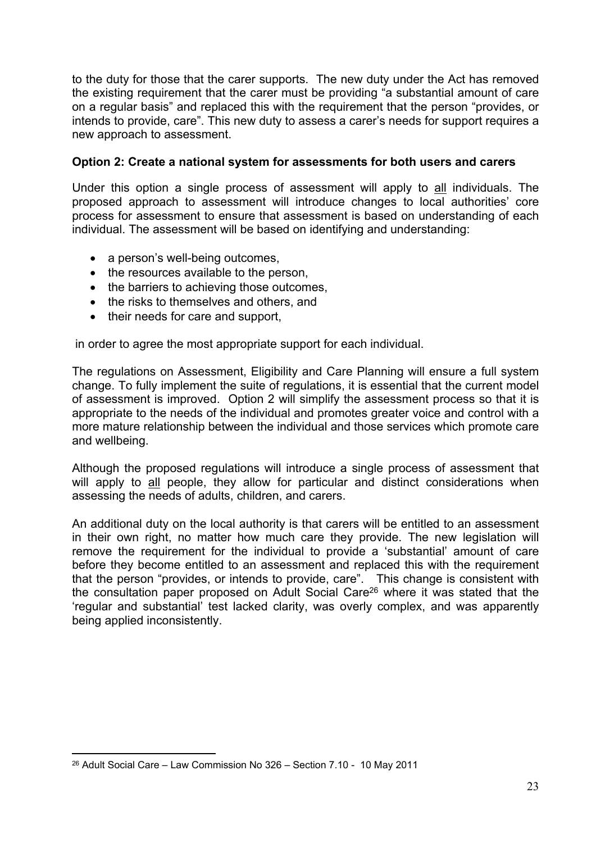to the duty for those that the carer supports. The new duty under the Act has removed the existing requirement that the carer must be providing "a substantial amount of care on a regular basis" and replaced this with the requirement that the person "provides, or intends to provide, care". This new duty to assess a carer's needs for support requires a new approach to assessment.

#### **Option 2: Create a national system for assessments for both users and carers**

Under this option a single process of assessment will apply to all individuals. The proposed approach to assessment will introduce changes to local authorities' core process for assessment to ensure that assessment is based on understanding of each individual. The assessment will be based on identifying and understanding:

- a person's well-being outcomes,
- the resources available to the person,
- the barriers to achieving those outcomes,
- the risks to themselves and others, and
- their needs for care and support,

in order to agree the most appropriate support for each individual.

The regulations on Assessment, Eligibility and Care Planning will ensure a full system change. To fully implement the suite of regulations, it is essential that the current model of assessment is improved. Option 2 will simplify the assessment process so that it is appropriate to the needs of the individual and promotes greater voice and control with a more mature relationship between the individual and those services which promote care and wellbeing.

Although the proposed regulations will introduce a single process of assessment that will apply to all people, they allow for particular and distinct considerations when assessing the needs of adults, children, and carers.

An additional duty on the local authority is that carers will be entitled to an assessment in their own right, no matter how much care they provide. The new legislation will remove the requirement for the individual to provide a 'substantial' amount of care before they become entitled to an assessment and replaced this with the requirement that the person "provides, or intends to provide, care". This change is consistent with the consultation paper proposed on Adult Social Care<sup>26</sup> where it was stated that the 'regular and substantial' test lacked clarity, was overly complex, and was apparently being applied inconsistently.

<sup>26</sup> Adult Social Care – Law Commission No 326 – Section 7.10 - 10 May 2011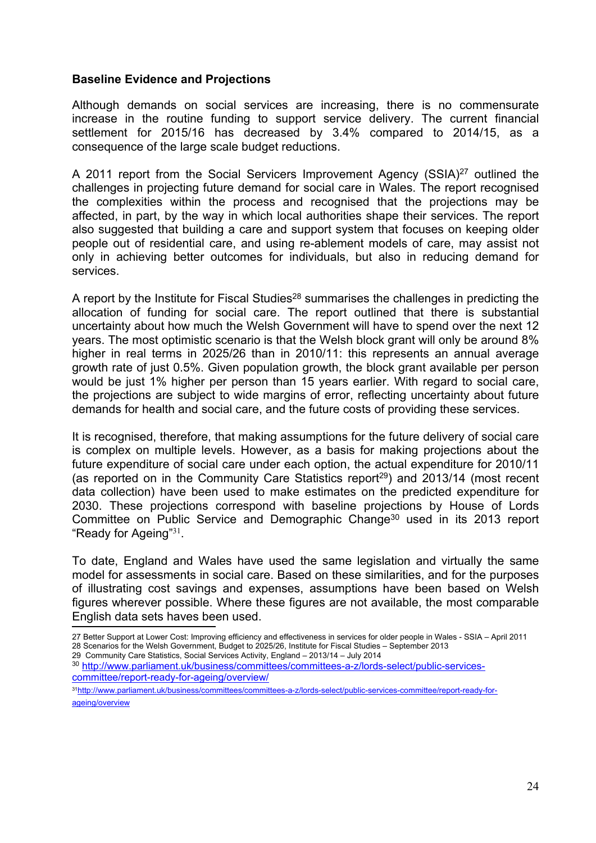#### **Baseline Evidence and Projections**

Although demands on social services are increasing, there is no commensurate increase in the routine funding to support service delivery. The current financial settlement for 2015/16 has decreased by 3.4% compared to 2014/15, as a consequence of the large scale budget reductions.

A 2011 report from the Social Servicers Improvement Agency (SSIA)<sup>27</sup> outlined the challenges in projecting future demand for social care in Wales. The report recognised the complexities within the process and recognised that the projections may be affected, in part, by the way in which local authorities shape their services. The report also suggested that building a care and support system that focuses on keeping older people out of residential care, and using re-ablement models of care, may assist not only in achieving better outcomes for individuals, but also in reducing demand for services.

A report by the Institute for Fiscal Studies<sup>28</sup> summarises the challenges in predicting the allocation of funding for social care. The report outlined that there is substantial uncertainty about how much the Welsh Government will have to spend over the next 12 years. The most optimistic scenario is that the Welsh block grant will only be around 8% higher in real terms in 2025/26 than in 2010/11: this represents an annual average growth rate of just 0.5%. Given population growth, the block grant available per person would be just 1% higher per person than 15 years earlier. With regard to social care, the projections are subject to wide margins of error, reflecting uncertainty about future demands for health and social care, and the future costs of providing these services.

It is recognised, therefore, that making assumptions for the future delivery of social care is complex on multiple levels. However, as a basis for making projections about the future expenditure of social care under each option, the actual expenditure for 2010/11 (as reported on in the Community Care Statistics report<sup>29</sup>) and 2013/14 (most recent data collection) have been used to make estimates on the predicted expenditure for 2030. These projections correspond with baseline projections by House of Lords Committee on Public Service and Demographic Change<sup>30</sup> used in its 2013 report "Ready for Ageing"<sup>31</sup>.

To date, England and Wales have used the same legislation and virtually the same model for assessments in social care. Based on these similarities, and for the purposes of illustrating cost savings and expenses, assumptions have been based on Welsh figures wherever possible. Where these figures are not available, the most comparable English data sets haves been used.

29 Community Care Statistics, Social Services Activity, England – 2013/14 – July 2014

<sup>27</sup> Better Support at Lower Cost: Improving efficiency and effectiveness in services for older people in Wales - SSIA – April 2011 28 Scenarios for the Welsh Government, Budget to 2025/26, Institute for Fiscal Studies – September 2013

<sup>30</sup> [http://www.parliament.uk/business/committees/committees-a-z/lords-select/public-services](http://www.parliament.uk/business/committees/committees-a-z/lords-select/public-services-committee/report-ready-for-ageing/overview/)[committee/report-ready-for-ageing/overview/](http://www.parliament.uk/business/committees/committees-a-z/lords-select/public-services-committee/report-ready-for-ageing/overview/)

<sup>31</sup>[http://www.parliament.uk/business/committees/committees-a-z/lords-select/public-services-committee/report-ready-for](http://www.parliament.uk/business/committees/committees-a-z/lords-select/public-services-committee/report-ready-for-ageing/overview)[ageing/overview](http://www.parliament.uk/business/committees/committees-a-z/lords-select/public-services-committee/report-ready-for-ageing/overview)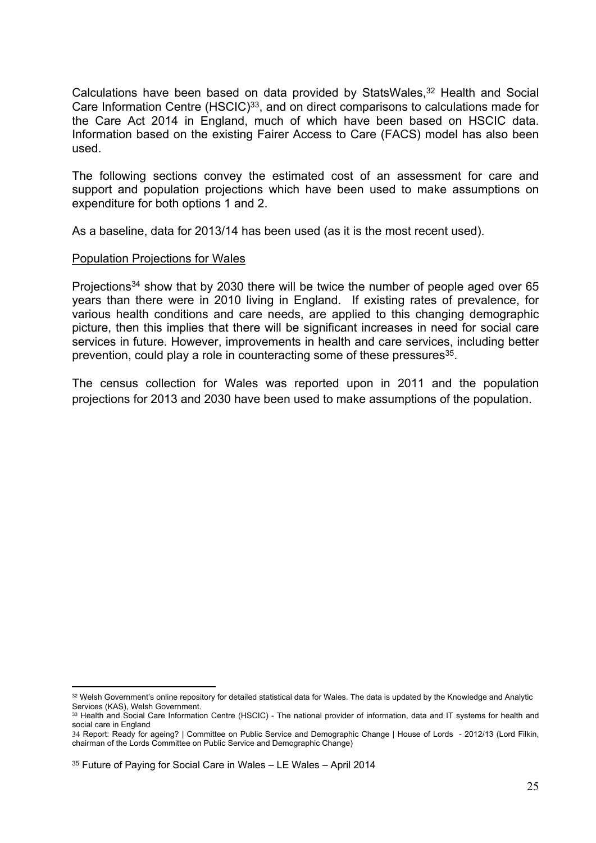Calculations have been based on data provided by StatsWales,<sup>32</sup> Health and Social Care Information Centre  $(HSCIC)^{33}$ , and on direct comparisons to calculations made for the Care Act 2014 in England, much of which have been based on HSCIC data. Information based on the existing Fairer Access to Care (FACS) model has also been used.

The following sections convey the estimated cost of an assessment for care and support and population projections which have been used to make assumptions on expenditure for both options 1 and 2.

As a baseline, data for 2013/14 has been used (as it is the most recent used).

#### Population Projections for Wales

Projections<sup>34</sup> show that by 2030 there will be twice the number of people aged over 65 years than there were in 2010 living in England. If existing rates of prevalence, for various health conditions and care needs, are applied to this changing demographic picture, then this implies that there will be significant increases in need for social care services in future. However, improvements in health and care services, including better prevention, could play a role in counteracting some of these pressures<sup>35</sup>.

The census collection for Wales was reported upon in 2011 and the population projections for 2013 and 2030 have been used to make assumptions of the population.

<sup>32</sup> Welsh Government's online repository for detailed statistical data for Wales. The data is updated by the Knowledge and Analytic Services (KAS), Welsh Government.

<sup>33</sup> Health and Social Care Information Centre (HSCIC) - The national provider of information, data and IT systems for health and social care in England

<sup>34</sup> Report: Ready for ageing? | Committee on Public Service and Demographic Change | House of Lords - 2012/13 (Lord Filkin, chairman of the Lords Committee on Public Service and Demographic Change)

<sup>35</sup> Future of Paying for Social Care in Wales – LE Wales – April 2014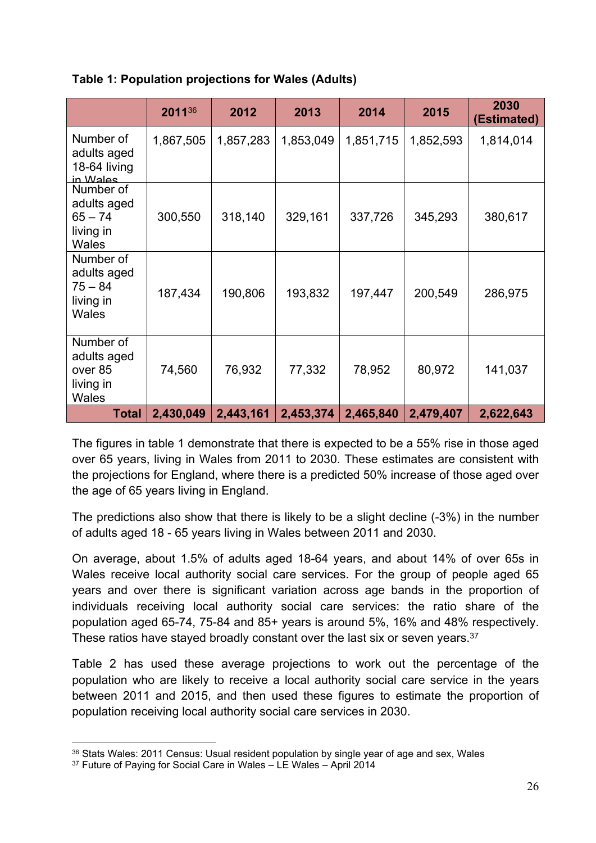|  | Table 1: Population projections for Wales (Adults) |  |  |
|--|----------------------------------------------------|--|--|
|--|----------------------------------------------------|--|--|

|                                                                    | 201136    | 2012      | 2013      | 2014      | 2015      | 2030<br>(Estimated) |
|--------------------------------------------------------------------|-----------|-----------|-----------|-----------|-----------|---------------------|
| Number of<br>adults aged<br>18-64 living<br>in Wales               | 1,867,505 | 1,857,283 | 1,853,049 | 1,851,715 | 1,852,593 | 1,814,014           |
| Number of<br>adults aged<br>$65 - 74$<br>living in<br>Wales        | 300,550   | 318,140   | 329,161   | 337,726   | 345,293   | 380,617             |
| Number of<br>adults aged<br>$75 - 84$<br>living in<br><b>Wales</b> | 187,434   | 190,806   | 193,832   | 197,447   | 200,549   | 286,975             |
| Number of<br>adults aged<br>over 85<br>living in<br><b>Wales</b>   | 74,560    | 76,932    | 77,332    | 78,952    | 80,972    | 141,037             |
| <b>Total</b>                                                       | 2,430,049 | 2,443,161 | 2,453,374 | 2,465,840 | 2,479,407 | 2,622,643           |

The figures in table 1 demonstrate that there is expected to be a 55% rise in those aged over 65 years, living in Wales from 2011 to 2030. These estimates are consistent with the projections for England, where there is a predicted 50% increase of those aged over the age of 65 years living in England.

The predictions also show that there is likely to be a slight decline (-3%) in the number of adults aged 18 - 65 years living in Wales between 2011 and 2030.

On average, about 1.5% of adults aged 18-64 years, and about 14% of over 65s in Wales receive local authority social care services. For the group of people aged 65 years and over there is significant variation across age bands in the proportion of individuals receiving local authority social care services: the ratio share of the population aged 65-74, 75-84 and 85+ years is around 5%, 16% and 48% respectively. These ratios have stayed broadly constant over the last six or seven years.<sup>37</sup>

Table 2 has used these average projections to work out the percentage of the population who are likely to receive a local authority social care service in the years between 2011 and 2015, and then used these figures to estimate the proportion of population receiving local authority social care services in 2030.

<sup>36</sup> Stats Wales: 2011 Census: Usual resident population by single year of age and sex, Wales

<sup>&</sup>lt;sup>37</sup> Future of Paying for Social Care in Wales – LE Wales – April 2014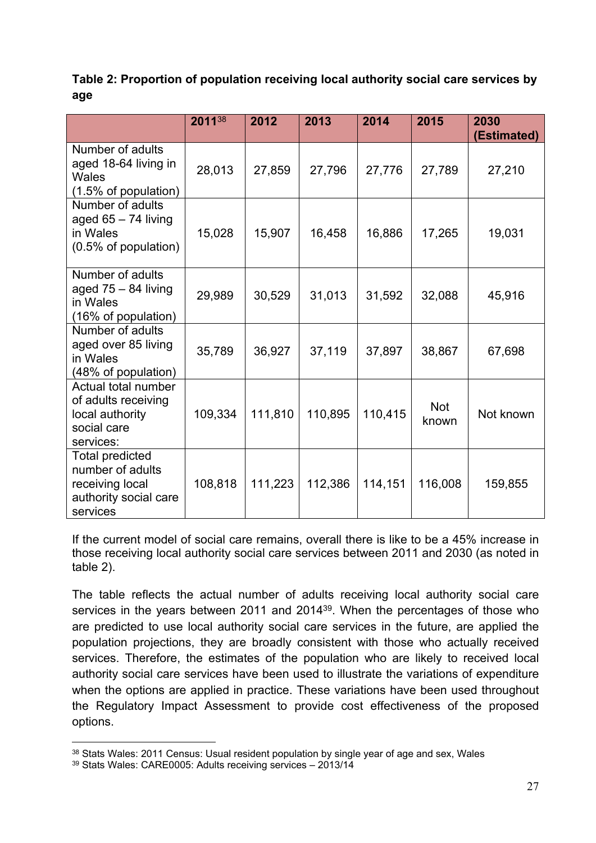#### **Table 2: Proportion of population receiving local authority social care services by age**

|                                                                                                    | 201138  | 2012    | 2013    | 2014    | 2015                | 2030<br>(Estimated) |
|----------------------------------------------------------------------------------------------------|---------|---------|---------|---------|---------------------|---------------------|
| Number of adults<br>aged 18-64 living in<br>Wales<br>$(1.5\% \text{ of population})$               | 28,013  | 27,859  | 27,796  | 27,776  | 27,789              | 27,210              |
| Number of adults<br>aged $65 - 74$ living<br>in Wales<br>(0.5% of population)                      | 15,028  | 15,907  | 16,458  | 16,886  | 17,265              | 19,031              |
| Number of adults<br>aged $75 - 84$ living<br>in Wales<br>(16% of population)                       | 29,989  | 30,529  | 31,013  | 31,592  | 32,088              | 45,916              |
| Number of adults<br>aged over 85 living<br>in Wales<br>(48% of population)                         | 35,789  | 36,927  | 37,119  | 37,897  | 38,867              | 67,698              |
| Actual total number<br>of adults receiving<br>local authority<br>social care<br>services:          | 109,334 | 111,810 | 110,895 | 110,415 | <b>Not</b><br>known | Not known           |
| <b>Total predicted</b><br>number of adults<br>receiving local<br>authority social care<br>services | 108,818 | 111,223 | 112,386 | 114,151 | 116,008             | 159,855             |

If the current model of social care remains, overall there is like to be a 45% increase in those receiving local authority social care services between 2011 and 2030 (as noted in table 2).

The table reflects the actual number of adults receiving local authority social care services in the years between 2011 and 2014<sup>39</sup>. When the percentages of those who are predicted to use local authority social care services in the future, are applied the population projections, they are broadly consistent with those who actually received services. Therefore, the estimates of the population who are likely to received local authority social care services have been used to illustrate the variations of expenditure when the options are applied in practice. These variations have been used throughout the Regulatory Impact Assessment to provide cost effectiveness of the proposed options.

<sup>38</sup> Stats Wales: 2011 Census: Usual resident population by single year of age and sex, Wales

<sup>39</sup> Stats Wales: CARE0005: Adults receiving services – 2013/14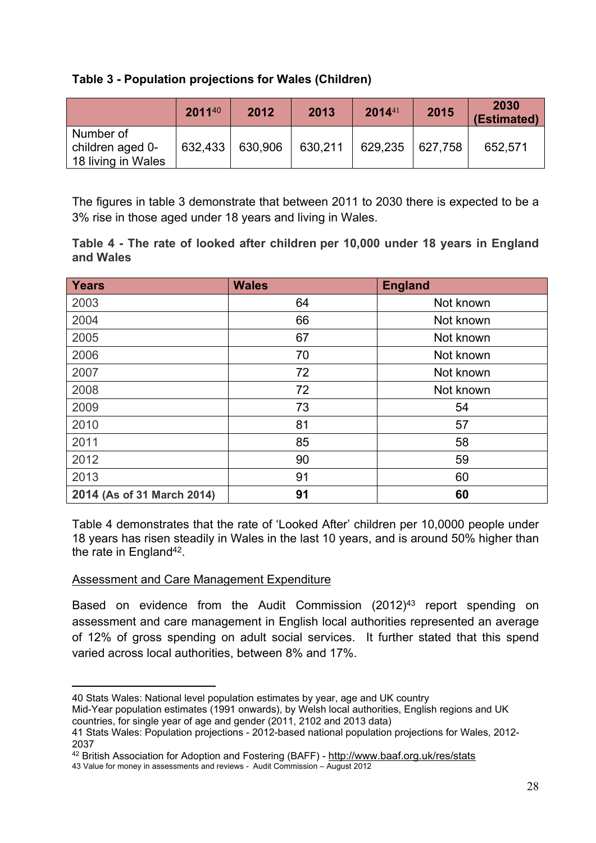#### **Table 3 - Population projections for Wales (Children)**

|                                                     | 201140  | 2012    | 2013    | $2014^{41}$ | 2015    | 2030<br>(Estimated) |
|-----------------------------------------------------|---------|---------|---------|-------------|---------|---------------------|
| Number of<br>children aged 0-<br>18 living in Wales | 632,433 | 630,906 | 630,211 | 629,235     | 627,758 | 652,571             |

The figures in table 3 demonstrate that between 2011 to 2030 there is expected to be a 3% rise in those aged under 18 years and living in Wales.

| Table 4 - The rate of looked after children per 10,000 under 18 years in England |  |  |  |  |
|----------------------------------------------------------------------------------|--|--|--|--|
| and Wales                                                                        |  |  |  |  |

| <b>Years</b>               | <b>Wales</b> | <b>England</b> |
|----------------------------|--------------|----------------|
| 2003                       | 64           | Not known      |
| 2004                       | 66           | Not known      |
| 2005                       | 67           | Not known      |
| 2006                       | 70           | Not known      |
| 2007                       | 72           | Not known      |
| 2008                       | 72           | Not known      |
| 2009                       | 73           | 54             |
| 2010                       | 81           | 57             |
| 2011                       | 85           | 58             |
| 2012                       | 90           | 59             |
| 2013                       | 91           | 60             |
| 2014 (As of 31 March 2014) | 91           | 60             |

Table 4 demonstrates that the rate of 'Looked After' children per 10,0000 people under 18 years has risen steadily in Wales in the last 10 years, and is around 50% higher than the rate in England<sup>42</sup>.

#### Assessment and Care Management Expenditure

Based on evidence from the Audit Commission (2012)<sup>43</sup> report spending on assessment and care management in English local authorities represented an average of 12% of gross spending on adult social services. It further stated that this spend varied across local authorities, between 8% and 17%.

<sup>40</sup> Stats Wales: National level population estimates by year, age and UK country

Mid-Year population estimates (1991 onwards), by Welsh local authorities, English regions and UK countries, for single year of age and gender (2011, 2102 and 2013 data)

<sup>41</sup> Stats Wales: Population projections - 2012-based national population projections for Wales, 2012- 2037

<sup>42</sup> British Association for Adoption and Fostering (BAFF) - <http://www.baaf.org.uk/res/stats>

<sup>43</sup> Value for money in assessments and reviews - Audit Commission – August 2012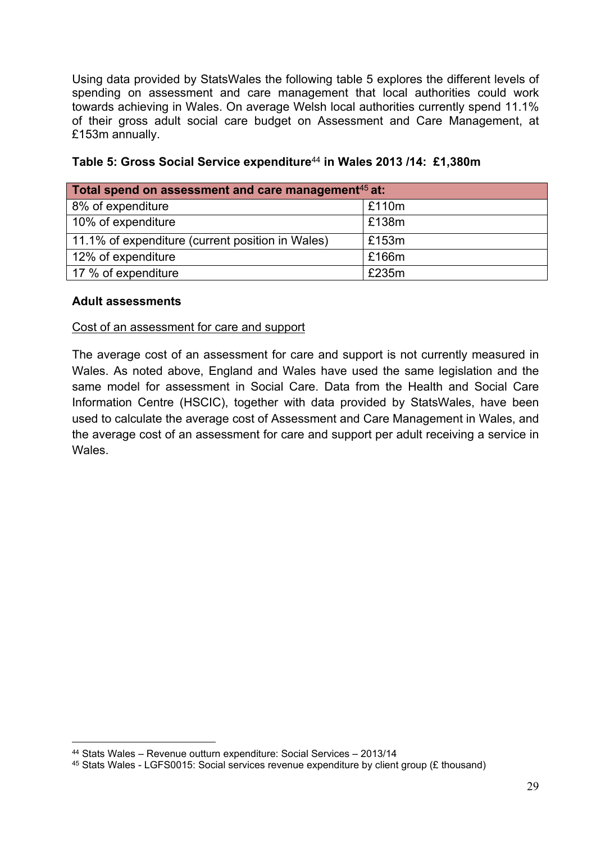Using data provided by StatsWales the following table 5 explores the different levels of spending on assessment and care management that local authorities could work towards achieving in Wales. On average Welsh local authorities currently spend 11.1% of their gross adult social care budget on Assessment and Care Management, at £153m annually.

| Total spend on assessment and care management <sup>45</sup> at: |       |  |  |  |  |  |  |
|-----------------------------------------------------------------|-------|--|--|--|--|--|--|
| 8% of expenditure                                               | £110m |  |  |  |  |  |  |
| 10% of expenditure                                              | £138m |  |  |  |  |  |  |
| 11.1% of expenditure (current position in Wales)                | £153m |  |  |  |  |  |  |
| 12% of expenditure                                              | £166m |  |  |  |  |  |  |
| 17 % of expenditure                                             | £235m |  |  |  |  |  |  |

|  | Table 5: Gross Social Service expenditure <sup>44</sup> in Wales 2013 /14: £1,380m |  |  |
|--|------------------------------------------------------------------------------------|--|--|
|  |                                                                                    |  |  |

#### **Adult assessments**

#### Cost of an assessment for care and support

The average cost of an assessment for care and support is not currently measured in Wales. As noted above, England and Wales have used the same legislation and the same model for assessment in Social Care. Data from the Health and Social Care Information Centre (HSCIC), together with data provided by StatsWales, have been used to calculate the average cost of Assessment and Care Management in Wales, and the average cost of an assessment for care and support per adult receiving a service in **Wales** 

<sup>44</sup> Stats Wales – Revenue outturn expenditure: Social Services – 2013/14

<sup>45</sup> Stats Wales - LGFS0015: Social services revenue expenditure by client group (£ thousand)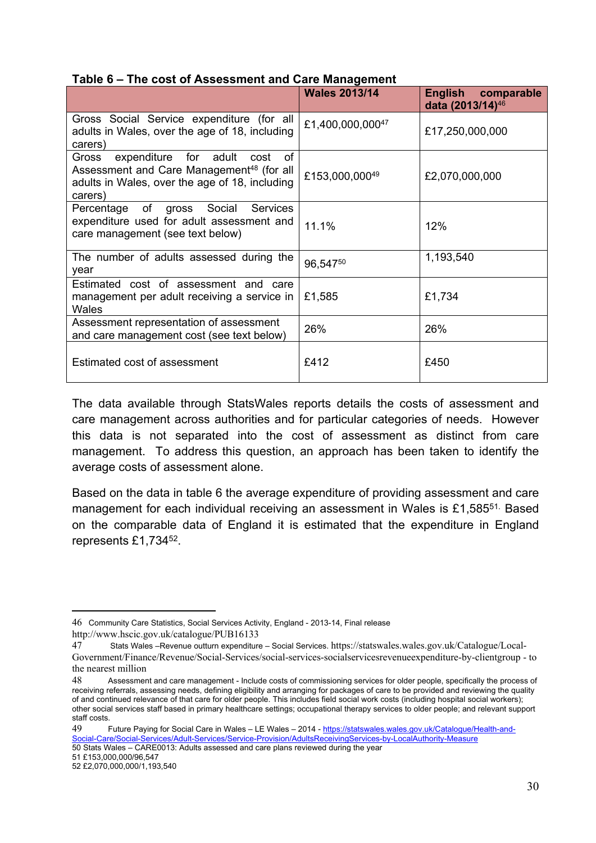#### **Table 6 – The cost of Assessment and Care Management**

|                                                                                                                                                                 | <b>Wales 2013/14</b> | English comparable<br>data (2013/14) <sup>46</sup> |
|-----------------------------------------------------------------------------------------------------------------------------------------------------------------|----------------------|----------------------------------------------------|
| Gross Social Service expenditure (for all<br>adults in Wales, over the age of 18, including<br>carers)                                                          | £1,400,000,00047     | £17,250,000,000                                    |
| Gross expenditure for adult<br>of<br>cost<br>Assessment and Care Management <sup>48</sup> (for all<br>adults in Wales, over the age of 18, including<br>carers) | £153,000,00049       | £2,070,000,000                                     |
| Percentage of gross Social Services<br>expenditure used for adult assessment and<br>care management (see text below)                                            | 11.1%                | 12%                                                |
| The number of adults assessed during the<br>year                                                                                                                | 96,54750             | 1,193,540                                          |
| Estimated cost of assessment and care<br>management per adult receiving a service in<br>Wales                                                                   | £1,585               | £1,734                                             |
| Assessment representation of assessment<br>and care management cost (see text below)                                                                            | 26%                  | 26%                                                |
| Estimated cost of assessment                                                                                                                                    | £412                 | £450                                               |

The data available through StatsWales reports details the costs of assessment and care management across authorities and for particular categories of needs. However this data is not separated into the cost of assessment as distinct from care management. To address this question, an approach has been taken to identify the average costs of assessment alone.

Based on the data in table 6 the average expenditure of providing assessment and care management for each individual receiving an assessment in Wales is £1,585<sup>51.</sup> Based on the comparable data of England it is estimated that the expenditure in England represents £1,734<sup>52</sup>.

49 Future Paying for Social Care in Wales – LE Wales – 2014 - [https://statswales.wales.gov.uk/Catalogue/Health-and-](https://statswales.wales.gov.uk/Catalogue/Health-and-Social-Care/Social-Services/Adult-Services/Service-Provision/AdultsReceivingServices-by-LocalAuthority-Measure)[Social-Care/Social-Services/Adult-Services/Service-Provision/AdultsReceivingServices-by-LocalAuthority-Measure](https://statswales.wales.gov.uk/Catalogue/Health-and-Social-Care/Social-Services/Adult-Services/Service-Provision/AdultsReceivingServices-by-LocalAuthority-Measure) 50 Stats Wales – CARE0013: Adults assessed and care plans reviewed during the year

51 £153,000,000/96,547

<sup>46</sup> Community Care Statistics, Social Services Activity, England - 2013-14, Final release

<http://www.hscic.gov.uk/catalogue/PUB16133>

<sup>47</sup> Stats Wales –Revenue outturn expenditure – Social Services. [https://statswales.wales.gov.uk/Catalogue/Local-](https://statswales.wales.gov.uk/Catalogue/Local-Government/Finance/Revenue/Social-Services/social-services-socialservicesrevenueexpenditure-by-clientgroup)[Government/Finance/Revenue/Social-Services/social-services-socialservicesrevenueexpenditure-by-clientgroup](https://statswales.wales.gov.uk/Catalogue/Local-Government/Finance/Revenue/Social-Services/social-services-socialservicesrevenueexpenditure-by-clientgroup) - to the nearest million

<sup>48</sup> Assessment and care management - Include costs of commissioning services for older people, specifically the process of receiving referrals, assessing needs, defining eligibility and arranging for packages of care to be provided and reviewing the quality of and continued relevance of that care for older people. This includes field social work costs (including hospital social workers); other social services staff based in primary healthcare settings; occupational therapy services to older people; and relevant support staff costs.

<sup>52</sup> £2,070,000,000/1,193,540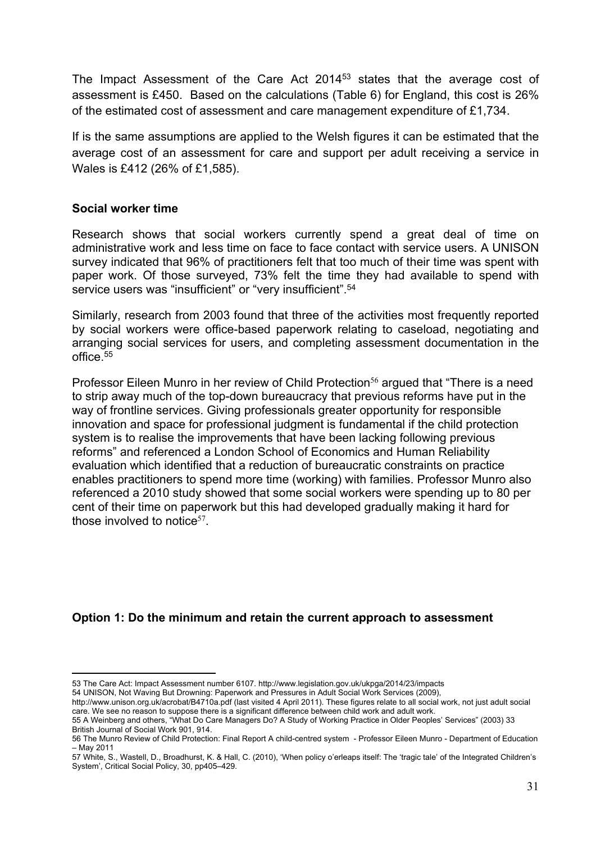The Impact Assessment of the Care Act 2014<sup>53</sup> states that the average cost of assessment is £450. Based on the calculations (Table 6) for England, this cost is 26% of the estimated cost of assessment and care management expenditure of £1,734.

If is the same assumptions are applied to the Welsh figures it can be estimated that the average cost of an assessment for care and support per adult receiving a service in Wales is £412 (26% of £1,585).

#### **Social worker time**

Research shows that social workers currently spend a great deal of time on administrative work and less time on face to face contact with service users. A UNISON survey indicated that 96% of practitioners felt that too much of their time was spent with paper work. Of those surveyed, 73% felt the time they had available to spend with service users was "insufficient" or "very insufficient".<sup>54</sup>

Similarly, research from 2003 found that three of the activities most frequently reported by social workers were office-based paperwork relating to caseload, negotiating and arranging social services for users, and completing assessment documentation in the office. $55$ 

Professor Eileen Munro in her review of Child Protection<sup>56</sup> argued that "There is a need to strip away much of the top-down bureaucracy that previous reforms have put in the way of frontline services. Giving professionals greater opportunity for responsible innovation and space for professional judgment is fundamental if the child protection system is to realise the improvements that have been lacking following previous reforms" and referenced a London School of Economics and Human Reliability evaluation which identified that a reduction of bureaucratic constraints on practice enables practitioners to spend more time (working) with families. Professor Munro also referenced a 2010 study showed that some social workers were spending up to 80 per cent of their time on paperwork but this had developed gradually making it hard for those involved to notice $57$ .

#### **Option 1: Do the minimum and retain the current approach to assessment**

<sup>53</sup> The Care Act: Impact Assessment number 6107. <http://www.legislation.gov.uk/ukpga/2014/23/impacts>

<sup>54</sup> UNISON, Not Waving But Drowning: Paperwork and Pressures in Adult Social Work Services (2009),

http://www.unison.org.uk/acrobat/B4710a.pdf (last visited 4 April 2011). These figures relate to all social work, not just adult social care. We see no reason to suppose there is a significant difference between child work and adult work.

<sup>55</sup> A Weinberg and others, "What Do Care Managers Do? A Study of Working Practice in Older Peoples' Services" (2003) 33 British Journal of Social Work 901, 914.

<sup>56</sup> The Munro Review of Child Protection: Final Report A child-centred system - Professor Eileen Munro - Department of Education – May 2011

<sup>57</sup> White, S., Wastell, D., Broadhurst, K. & Hall, C. (2010), 'When policy o'erleaps itself: The 'tragic tale' of the Integrated Children's System', Critical Social Policy, 30, pp405–429.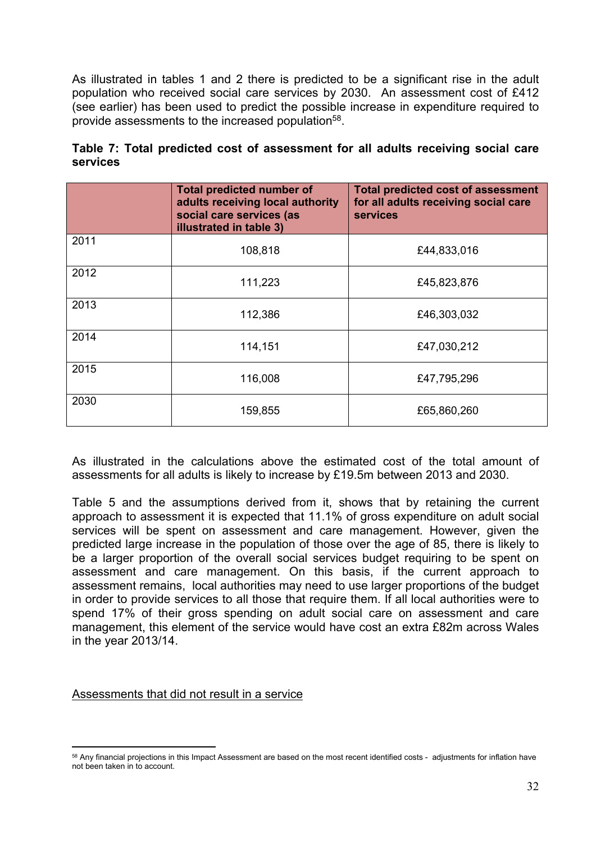As illustrated in tables 1 and 2 there is predicted to be a significant rise in the adult population who received social care services by 2030. An assessment cost of £412 (see earlier) has been used to predict the possible increase in expenditure required to provide assessments to the increased population<sup>58</sup>.

|          |  |  | Table 7: Total predicted cost of assessment for all adults receiving social care |  |  |  |
|----------|--|--|----------------------------------------------------------------------------------|--|--|--|
| services |  |  |                                                                                  |  |  |  |

|      | <b>Total predicted number of</b><br>adults receiving local authority<br>social care services (as<br>illustrated in table 3) | <b>Total predicted cost of assessment</b><br>for all adults receiving social care<br><b>services</b> |
|------|-----------------------------------------------------------------------------------------------------------------------------|------------------------------------------------------------------------------------------------------|
| 2011 | 108,818                                                                                                                     | £44,833,016                                                                                          |
| 2012 | 111,223                                                                                                                     | £45,823,876                                                                                          |
| 2013 | 112,386                                                                                                                     | £46,303,032                                                                                          |
| 2014 | 114,151                                                                                                                     | £47,030,212                                                                                          |
| 2015 | 116,008                                                                                                                     | £47,795,296                                                                                          |
| 2030 | 159,855                                                                                                                     | £65,860,260                                                                                          |

As illustrated in the calculations above the estimated cost of the total amount of assessments for all adults is likely to increase by £19.5m between 2013 and 2030.

Table 5 and the assumptions derived from it, shows that by retaining the current approach to assessment it is expected that 11.1% of gross expenditure on adult social services will be spent on assessment and care management. However, given the predicted large increase in the population of those over the age of 85, there is likely to be a larger proportion of the overall social services budget requiring to be spent on assessment and care management. On this basis, if the current approach to assessment remains, local authorities may need to use larger proportions of the budget in order to provide services to all those that require them. If all local authorities were to spend 17% of their gross spending on adult social care on assessment and care management, this element of the service would have cost an extra £82m across Wales in the year 2013/14.

Assessments that did not result in a service

<sup>58</sup> Any financial projections in this Impact Assessment are based on the most recent identified costs - adjustments for inflation have not been taken in to account.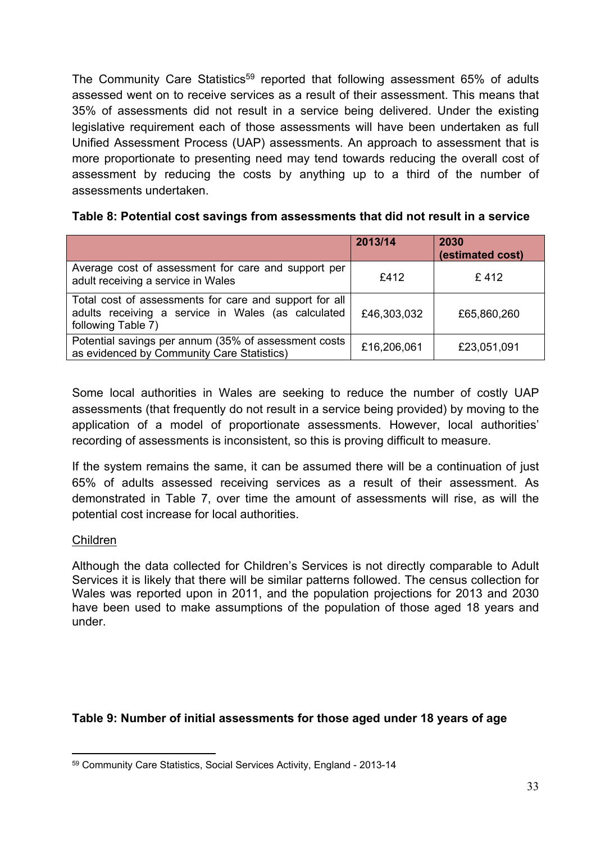The Community Care Statistics<sup>59</sup> reported that following assessment 65% of adults assessed went on to receive services as a result of their assessment. This means that 35% of assessments did not result in a service being delivered. Under the existing legislative requirement each of those assessments will have been undertaken as full Unified Assessment Process (UAP) assessments. An approach to assessment that is more proportionate to presenting need may tend towards reducing the overall cost of assessment by reducing the costs by anything up to a third of the number of assessments undertaken.

|                                                                                                                                    | 2013/14     | 2030<br>(estimated cost) |
|------------------------------------------------------------------------------------------------------------------------------------|-------------|--------------------------|
| Average cost of assessment for care and support per<br>adult receiving a service in Wales                                          | £412        | £412                     |
| Total cost of assessments for care and support for all<br>adults receiving a service in Wales (as calculated<br>following Table 7) | £46,303,032 | £65,860,260              |
| Potential savings per annum (35% of assessment costs<br>as evidenced by Community Care Statistics)                                 | £16,206,061 | £23,051,091              |

Some local authorities in Wales are seeking to reduce the number of costly UAP assessments (that frequently do not result in a service being provided) by moving to the application of a model of proportionate assessments. However, local authorities' recording of assessments is inconsistent, so this is proving difficult to measure.

If the system remains the same, it can be assumed there will be a continuation of just 65% of adults assessed receiving services as a result of their assessment. As demonstrated in Table 7, over time the amount of assessments will rise, as will the potential cost increase for local authorities.

#### Children

Although the data collected for Children's Services is not directly comparable to Adult Services it is likely that there will be similar patterns followed. The census collection for Wales was reported upon in 2011, and the population projections for 2013 and 2030 have been used to make assumptions of the population of those aged 18 years and under.

#### **Table 9: Number of initial assessments for those aged under 18 years of age**

<sup>59</sup> Community Care Statistics, Social Services Activity, England - 2013-14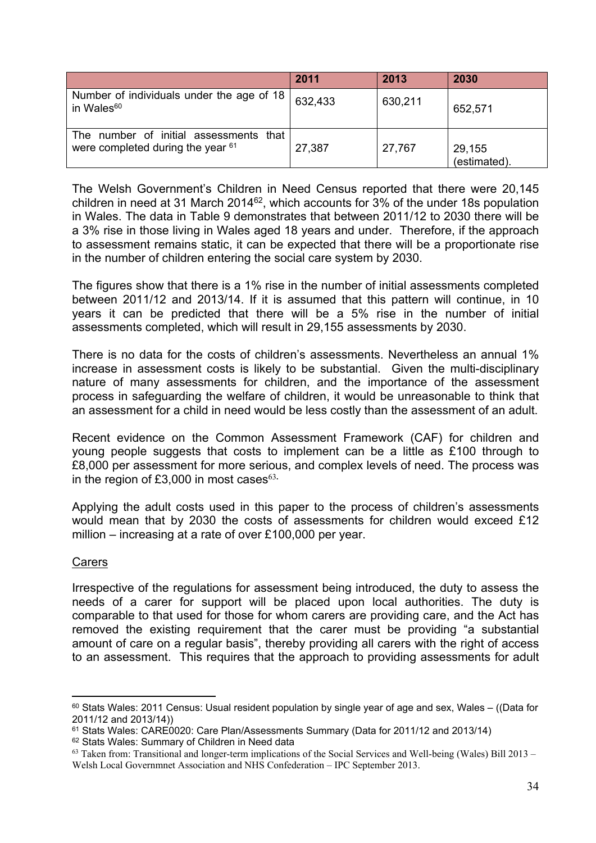|                                                                                | 2011    | 2013    | 2030                   |
|--------------------------------------------------------------------------------|---------|---------|------------------------|
| Number of individuals under the age of 18<br>in Wales <sup>60</sup>            | 632,433 | 630,211 | 652,571                |
| The number of initial assessments<br>that<br>were completed during the year 61 | 27,387  | 27,767  | 29,155<br>(estimated). |

The Welsh Government's Children in Need Census reported that there were 20,145 children in need at 31 March 2014<sup>62</sup>, which accounts for 3% of the under 18s population in Wales. The data in Table 9 demonstrates that between 2011/12 to 2030 there will be a 3% rise in those living in Wales aged 18 years and under. Therefore, if the approach to assessment remains static, it can be expected that there will be a proportionate rise in the number of children entering the social care system by 2030.

The figures show that there is a 1% rise in the number of initial assessments completed between 2011/12 and 2013/14. If it is assumed that this pattern will continue, in 10 years it can be predicted that there will be a 5% rise in the number of initial assessments completed, which will result in 29,155 assessments by 2030.

There is no data for the costs of children's assessments. Nevertheless an annual 1% increase in assessment costs is likely to be substantial. Given the multi-disciplinary nature of many assessments for children, and the importance of the assessment process in safeguarding the welfare of children, it would be unreasonable to think that an assessment for a child in need would be less costly than the assessment of an adult.

Recent evidence on the Common Assessment Framework (CAF) for children and young people suggests that costs to implement can be a little as £100 through to £8,000 per assessment for more serious, and complex levels of need. The process was in the region of £3,000 in most cases<sup>63.</sup>

Applying the adult costs used in this paper to the process of children's assessments would mean that by 2030 the costs of assessments for children would exceed £12 million – increasing at a rate of over £100,000 per year.

#### Carers

Irrespective of the regulations for assessment being introduced, the duty to assess the needs of a carer for support will be placed upon local authorities. The duty is comparable to that used for those for whom carers are providing care, and the Act has removed the existing requirement that the carer must be providing "a substantial amount of care on a regular basis", thereby providing all carers with the right of access to an assessment. This requires that the approach to providing assessments for adult

<sup>60</sup> Stats Wales: 2011 Census: Usual resident population by single year of age and sex, Wales – ((Data for 2011/12 and 2013/14))

<sup>61</sup> Stats Wales: CARE0020: Care Plan/Assessments Summary (Data for 2011/12 and 2013/14)

<sup>62</sup> Stats Wales: Summary of Children in Need data

 $63$  Taken from: Transitional and longer-term implications of the Social Services and Well-being (Wales) Bill 2013 – Welsh Local Governmnet Association and NHS Confederation – IPC September 2013.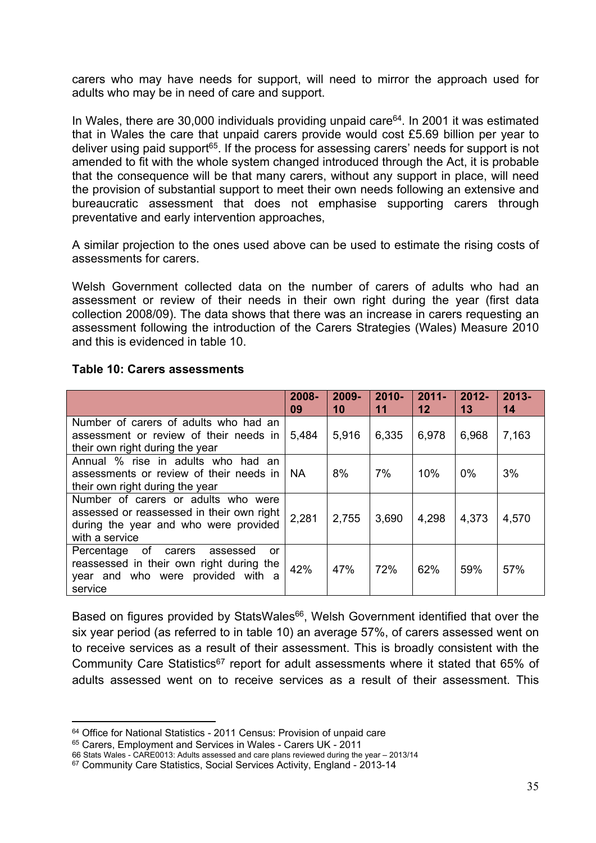carers who may have needs for support, will need to mirror the approach used for adults who may be in need of care and support.

In Wales, there are 30,000 individuals providing unpaid care<sup>64</sup>. In 2001 it was estimated that in Wales the care that unpaid carers provide would cost £5.69 billion per year to deliver using paid support<sup>65</sup>. If the process for assessing carers' needs for support is not amended to fit with the whole system changed introduced through the Act, it is probable that the consequence will be that many carers, without any support in place, will need the provision of substantial support to meet their own needs following an extensive and bureaucratic assessment that does not emphasise supporting carers through preventative and early intervention approaches,

A similar projection to the ones used above can be used to estimate the rising costs of assessments for carers.

Welsh Government collected data on the number of carers of adults who had an assessment or review of their needs in their own right during the year (first data collection 2008/09). The data shows that there was an increase in carers requesting an assessment following the introduction of the Carers Strategies (Wales) Measure 2010 and this is evidenced in table 10.

|                                                                                                                                             | 2008-<br>09 | 2009-<br>10 | $2010 -$<br>11 | $2011 -$<br>$12 \,$ | $2012 -$<br>13 | $2013 -$<br>14 |
|---------------------------------------------------------------------------------------------------------------------------------------------|-------------|-------------|----------------|---------------------|----------------|----------------|
| Number of carers of adults who had an<br>assessment or review of their needs in<br>their own right during the year                          | 5,484       | 5,916       | 6,335          | 6,978               | 6,968          | 7,163          |
| Annual % rise in adults who had<br>an<br>assessments or review of their needs in I<br>their own right during the year                       | <b>NA</b>   | 8%          | 7%             | 10%                 | 0%             | 3%             |
| Number of carers or adults who were<br>assessed or reassessed in their own right<br>during the year and who were provided<br>with a service | 2,281       | 2,755       | 3,690          | 4,298               | 4,373          | 4,570          |
| of carers<br>Percentage<br>assessed<br>or<br>reassessed in their own right during the<br>year and who were provided with a<br>service       | 42%         | 47%         | 72%            | 62%                 | 59%            | 57%            |

#### **Table 10: Carers assessments**

Based on figures provided by StatsWales<sup>66</sup>, Welsh Government identified that over the six year period (as referred to in table 10) an average 57%, of carers assessed went on to receive services as a result of their assessment. This is broadly consistent with the Community Care Statistics<sup>67</sup> report for adult assessments where it stated that 65% of adults assessed went on to receive services as a result of their assessment. This

<sup>&</sup>lt;sup>64</sup> Office for National Statistics - 2011 Census: Provision of unpaid care

<sup>65</sup> Carers, Employment and Services in Wales - Carers UK - 2011

<sup>66</sup> Stats Wales - CARE0013: Adults assessed and care plans reviewed during the year – 2013/14

<sup>67</sup> Community Care Statistics, Social Services Activity, England - 2013-14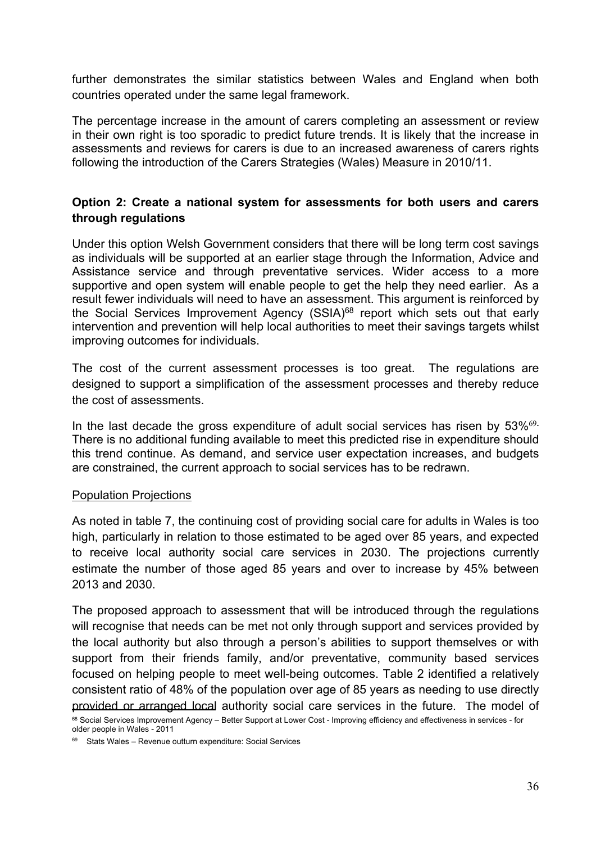further demonstrates the similar statistics between Wales and England when both countries operated under the same legal framework.

The percentage increase in the amount of carers completing an assessment or review in their own right is too sporadic to predict future trends. It is likely that the increase in assessments and reviews for carers is due to an increased awareness of carers rights following the introduction of the Carers Strategies (Wales) Measure in 2010/11.

#### **Option 2: Create a national system for assessments for both users and carers through regulations**

Under this option Welsh Government considers that there will be long term cost savings as individuals will be supported at an earlier stage through the Information, Advice and Assistance service and through preventative services. Wider access to a more supportive and open system will enable people to get the help they need earlier. As a result fewer individuals will need to have an assessment. This argument is reinforced by the Social Services Improvement Agency (SSIA)<sup>68</sup> report which sets out that early intervention and prevention will help local authorities to meet their savings targets whilst improving outcomes for individuals.

The cost of the current assessment processes is too great. The regulations are designed to support a simplification of the assessment processes and thereby reduce the cost of assessments.

In the last decade the gross expenditure of adult social services has risen by 53%<sup>69.</sup> There is no additional funding available to meet this predicted rise in expenditure should this trend continue. As demand, and service user expectation increases, and budgets are constrained, the current approach to social services has to be redrawn.

#### Population Projections

As noted in table 7, the continuing cost of providing social care for adults in Wales is too high, particularly in relation to those estimated to be aged over 85 years, and expected to receive local authority social care services in 2030. The projections currently estimate the number of those aged 85 years and over to increase by 45% between 2013 and 2030.

The proposed approach to assessment that will be introduced through the regulations will recognise that needs can be met not only through support and services provided by the local authority but also through a person's abilities to support themselves or with support from their friends family, and/or preventative, community based services focused on helping people to meet well-being outcomes. Table 2 identified a relatively consistent ratio of 48% of the population over age of 85 years as needing to use directly provided or arranged local authority social care services in the future. The model of <sup>68</sup> Social Services Improvement Agency – Better Support at Lower Cost - Improving efficiency and effectiveness in services - for older people in Wales - 2011

<sup>69</sup> Stats Wales – Revenue outturn expenditure: Social Services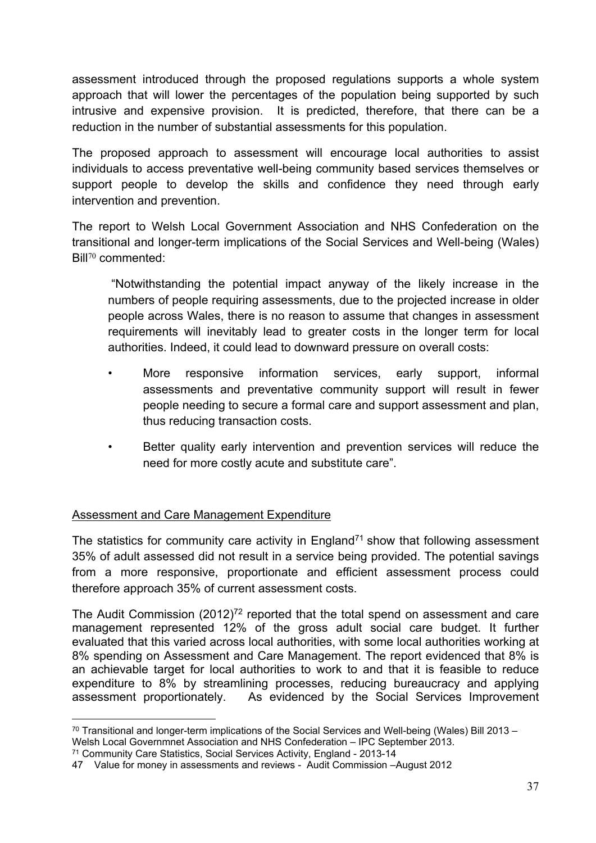assessment introduced through the proposed regulations supports a whole system approach that will lower the percentages of the population being supported by such intrusive and expensive provision. It is predicted, therefore, that there can be a reduction in the number of substantial assessments for this population.

The proposed approach to assessment will encourage local authorities to assist individuals to access preventative well-being community based services themselves or support people to develop the skills and confidence they need through early intervention and prevention.

The report to Welsh Local Government Association and NHS Confederation on the transitional and longer-term implications of the Social Services and Well-being (Wales) Bill<sup>70</sup> commented:

"Notwithstanding the potential impact anyway of the likely increase in the numbers of people requiring assessments, due to the projected increase in older people across Wales, there is no reason to assume that changes in assessment requirements will inevitably lead to greater costs in the longer term for local authorities. Indeed, it could lead to downward pressure on overall costs:

- More responsive information services, early support, informal assessments and preventative community support will result in fewer people needing to secure a formal care and support assessment and plan, thus reducing transaction costs.
- Better quality early intervention and prevention services will reduce the need for more costly acute and substitute care".

#### Assessment and Care Management Expenditure

The statistics for community care activity in England<sup> $71$ </sup> show that following assessment 35% of adult assessed did not result in a service being provided. The potential savings from a more responsive, proportionate and efficient assessment process could therefore approach 35% of current assessment costs.

The Audit Commission (2012)<sup>72</sup> reported that the total spend on assessment and care management represented 12% of the gross adult social care budget. It further evaluated that this varied across local authorities, with some local authorities working at 8% spending on Assessment and Care Management. The report evidenced that 8% is an achievable target for local authorities to work to and that it is feasible to reduce expenditure to 8% by streamlining processes, reducing bureaucracy and applying assessment proportionately. As evidenced by the Social Services Improvement

<sup>70</sup> Transitional and longer-term implications of the Social Services and Well-being (Wales) Bill 2013 – Welsh Local Governmnet Association and NHS Confederation – IPC September 2013.

<sup>71</sup> Community Care Statistics, Social Services Activity, England - 2013-14

<sup>47</sup> Value for money in assessments and reviews - Audit Commission –August 2012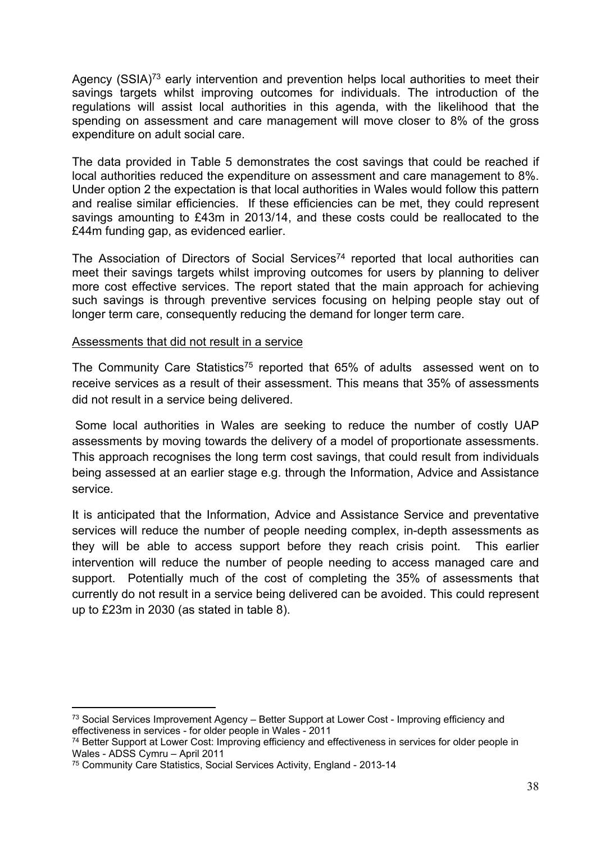Agency  $(SSIA)^{73}$  early intervention and prevention helps local authorities to meet their savings targets whilst improving outcomes for individuals. The introduction of the regulations will assist local authorities in this agenda, with the likelihood that the spending on assessment and care management will move closer to 8% of the gross expenditure on adult social care.

The data provided in Table 5 demonstrates the cost savings that could be reached if local authorities reduced the expenditure on assessment and care management to 8%. Under option 2 the expectation is that local authorities in Wales would follow this pattern and realise similar efficiencies. If these efficiencies can be met, they could represent savings amounting to £43m in 2013/14, and these costs could be reallocated to the £44m funding gap, as evidenced earlier.

The Association of Directors of Social Services<sup>74</sup> reported that local authorities can meet their savings targets whilst improving outcomes for users by planning to deliver more cost effective services. The report stated that the main approach for achieving such savings is through preventive services focusing on helping people stay out of longer term care, consequently reducing the demand for longer term care.

#### Assessments that did not result in a service

The Community Care Statistics<sup>75</sup> reported that 65% of adults assessed went on to receive services as a result of their assessment. This means that 35% of assessments did not result in a service being delivered.

Some local authorities in Wales are seeking to reduce the number of costly UAP assessments by moving towards the delivery of a model of proportionate assessments. This approach recognises the long term cost savings, that could result from individuals being assessed at an earlier stage e.g. through the Information, Advice and Assistance service.

It is anticipated that the Information, Advice and Assistance Service and preventative services will reduce the number of people needing complex, in-depth assessments as they will be able to access support before they reach crisis point. This earlier intervention will reduce the number of people needing to access managed care and support. Potentially much of the cost of completing the 35% of assessments that currently do not result in a service being delivered can be avoided. This could represent up to £23m in 2030 (as stated in table 8).

 $73$  Social Services Improvement Agency – Better Support at Lower Cost - Improving efficiency and effectiveness in services - for older people in Wales - 2011

<sup>74</sup> Better Support at Lower Cost: Improving efficiency and effectiveness in services for older people in Wales - ADSS Cymru – April 2011

<sup>75</sup> Community Care Statistics, Social Services Activity, England - 2013-14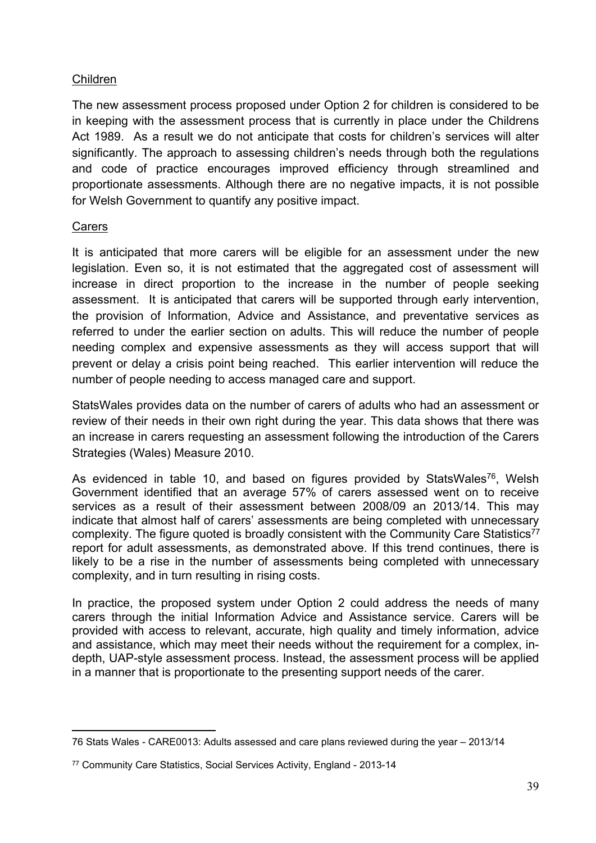#### Children

The new assessment process proposed under Option 2 for children is considered to be in keeping with the assessment process that is currently in place under the Childrens Act 1989. As a result we do not anticipate that costs for children's services will alter significantly. The approach to assessing children's needs through both the regulations and code of practice encourages improved efficiency through streamlined and proportionate assessments. Although there are no negative impacts, it is not possible for Welsh Government to quantify any positive impact.

#### **Carers**

It is anticipated that more carers will be eligible for an assessment under the new legislation. Even so, it is not estimated that the aggregated cost of assessment will increase in direct proportion to the increase in the number of people seeking assessment. It is anticipated that carers will be supported through early intervention, the provision of Information, Advice and Assistance, and preventative services as referred to under the earlier section on adults. This will reduce the number of people needing complex and expensive assessments as they will access support that will prevent or delay a crisis point being reached. This earlier intervention will reduce the number of people needing to access managed care and support.

StatsWales provides data on the number of carers of adults who had an assessment or review of their needs in their own right during the year. This data shows that there was an increase in carers requesting an assessment following the introduction of the Carers Strategies (Wales) Measure 2010.

As evidenced in table 10, and based on figures provided by StatsWales<sup>76</sup>, Welsh Government identified that an average 57% of carers assessed went on to receive services as a result of their assessment between 2008/09 an 2013/14. This may indicate that almost half of carers' assessments are being completed with unnecessary complexity. The figure quoted is broadly consistent with the Community Care Statistics<sup>77</sup> report for adult assessments, as demonstrated above. If this trend continues, there is likely to be a rise in the number of assessments being completed with unnecessary complexity, and in turn resulting in rising costs.

In practice, the proposed system under Option 2 could address the needs of many carers through the initial Information Advice and Assistance service. Carers will be provided with access to relevant, accurate, high quality and timely information, advice and assistance, which may meet their needs without the requirement for a complex, indepth, UAP-style assessment process. Instead, the assessment process will be applied in a manner that is proportionate to the presenting support needs of the carer.

<sup>76</sup> Stats Wales - CARE0013: Adults assessed and care plans reviewed during the year – 2013/14

<sup>77</sup> Community Care Statistics, Social Services Activity, England - 2013-14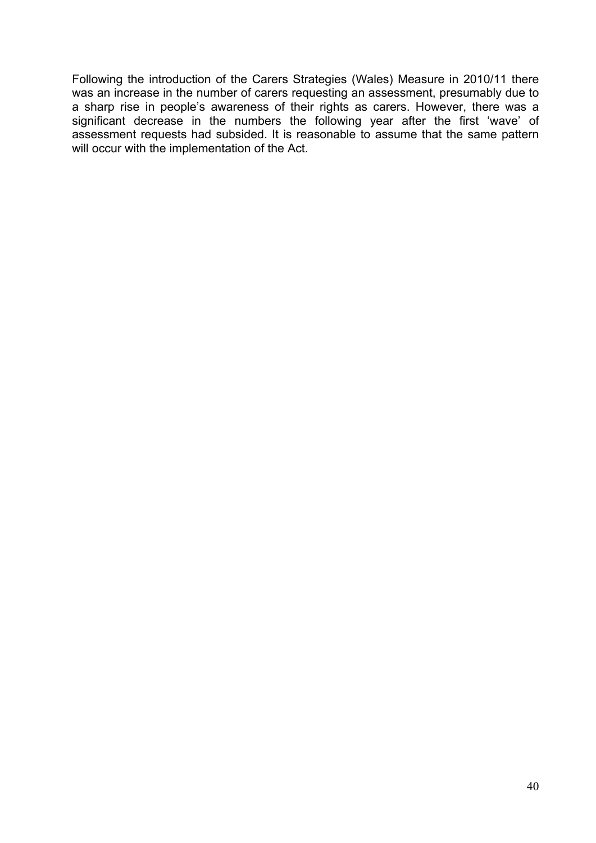Following the introduction of the Carers Strategies (Wales) Measure in 2010/11 there was an increase in the number of carers requesting an assessment, presumably due to a sharp rise in people's awareness of their rights as carers. However, there was a significant decrease in the numbers the following year after the first 'wave' of assessment requests had subsided. It is reasonable to assume that the same pattern will occur with the implementation of the Act.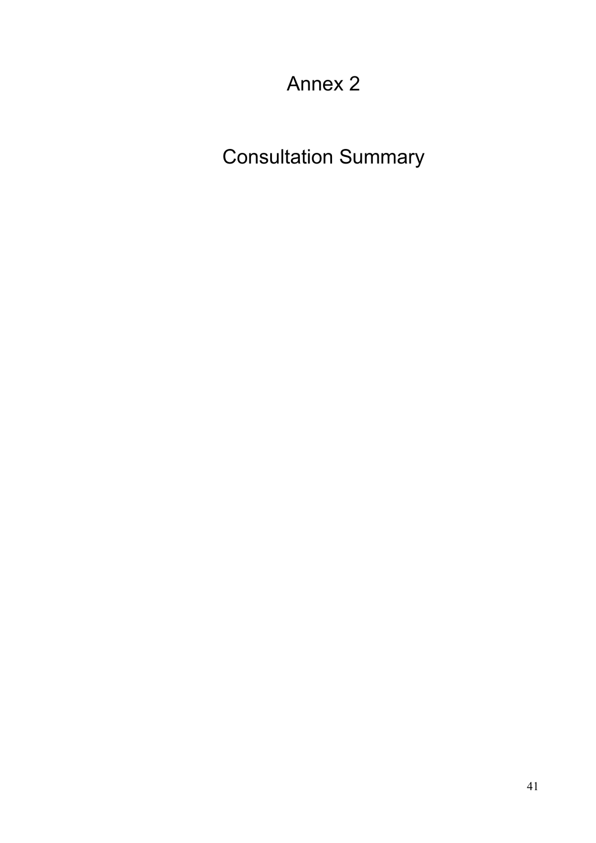# Annex 2

Consultation Summary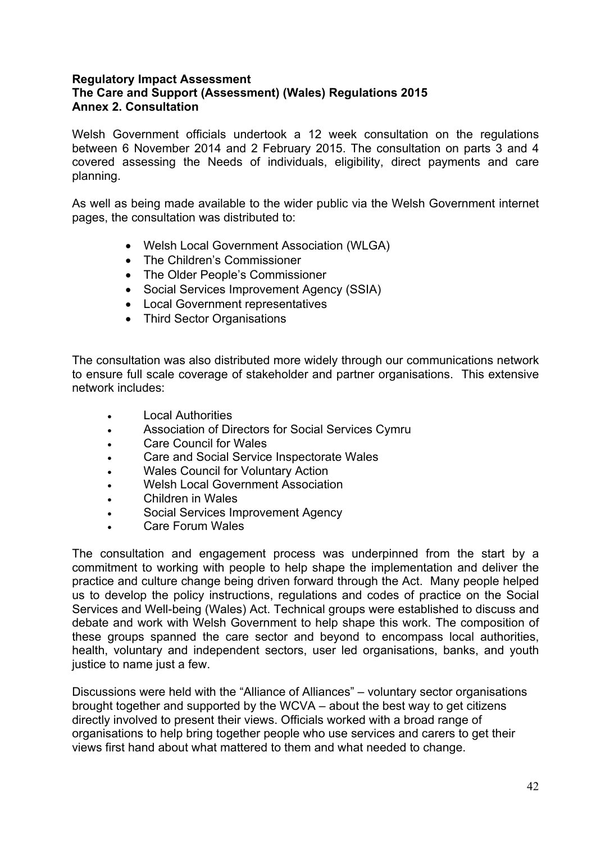#### **Regulatory Impact Assessment The Care and Support (Assessment) (Wales) Regulations 2015 Annex 2. Consultation**

Welsh Government officials undertook a 12 week consultation on the regulations between 6 November 2014 and 2 February 2015. The consultation on parts 3 and 4 covered assessing the Needs of individuals, eligibility, direct payments and care planning.

As well as being made available to the wider public via the Welsh Government internet pages, the consultation was distributed to:

- Welsh Local Government Association (WLGA)
- The Children's Commissioner
- The Older People's Commissioner
- Social Services Improvement Agency (SSIA)
- Local Government representatives
- Third Sector Organisations

The consultation was also distributed more widely through our communications network to ensure full scale coverage of stakeholder and partner organisations. This extensive network includes:

- Local Authorities
- Association of Directors for Social Services Cymru
- Care Council for Wales
- Care and Social Service Inspectorate Wales
- Wales Council for Voluntary Action
- Welsh Local Government Association
- Children in Wales
- Social Services Improvement Agency
- Care Forum Wales

The consultation and engagement process was underpinned from the start by a commitment to working with people to help shape the implementation and deliver the practice and culture change being driven forward through the Act. Many people helped us to develop the policy instructions, regulations and codes of practice on the Social Services and Well-being (Wales) Act. Technical groups were established to discuss and debate and work with Welsh Government to help shape this work. The composition of these groups spanned the care sector and beyond to encompass local authorities, health, voluntary and independent sectors, user led organisations, banks, and youth justice to name just a few.

Discussions were held with the "Alliance of Alliances" – voluntary sector organisations brought together and supported by the WCVA – about the best way to get citizens directly involved to present their views. Officials worked with a broad range of organisations to help bring together people who use services and carers to get their views first hand about what mattered to them and what needed to change.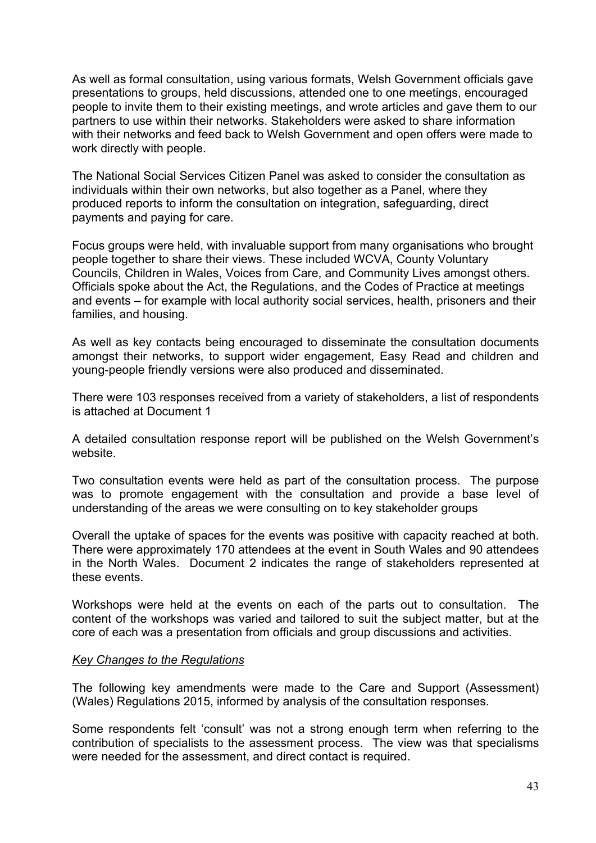As well as formal consultation, using various formats, Welsh Government officials gave presentations to groups, held discussions, attended one to one meetings, encouraged people to invite them to their existing meetings, and wrote articles and gave them to our partners to use within their networks. Stakeholders were asked to share information with their networks and feed back to Welsh Government and open offers were made to work directly with people.

The National Social Services Citizen Panel was asked to consider the consultation as individuals within their own networks, but also together as a Panel, where they produced reports to inform the consultation on integration, safeguarding, direct payments and paying for care.

Focus groups were held, with invaluable support from many organisations who brought people together to share their views. These included WCVA, County Voluntary Councils, Children in Wales, Voices from Care, and Community Lives amongst others. Officials spoke about the Act, the Regulations, and the Codes of Practice at meetings and events – for example with local authority social services, health, prisoners and their families, and housing.

As well as key contacts being encouraged to disseminate the consultation documents amongst their networks, to support wider engagement, Easy Read and children and young-people friendly versions were also produced and disseminated.

There were 103 responses received from a variety of stakeholders, a list of respondents is attached at Document 1

A detailed consultation response report will be published on the Welsh Government's website.

Two consultation events were held as part of the consultation process. The purpose was to promote engagement with the consultation and provide a base level of understanding of the areas we were consulting on to key stakeholder groups

Overall the uptake of spaces for the events was positive with capacity reached at both. There were approximately 170 attendees at the event in South Wales and 90 attendees in the North Wales. Document 2 indicates the range of stakeholders represented at these events.

Workshops were held at the events on each of the parts out to consultation. The content of the workshops was varied and tailored to suit the subject matter, but at the core of each was a presentation from officials and group discussions and activities.

#### *Key Changes to the Regulations*

The following key amendments were made to the Care and Support (Assessment) (Wales) Regulations 2015, informed by analysis of the consultation responses.

Some respondents felt 'consult' was not a strong enough term when referring to the contribution of specialists to the assessment process. The view was that specialisms were needed for the assessment, and direct contact is required.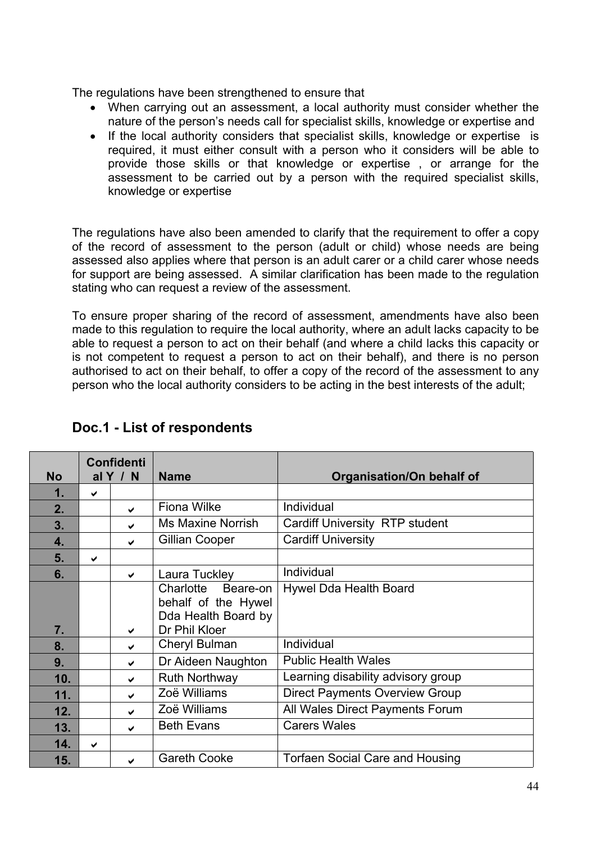The regulations have been strengthened to ensure that

- When carrying out an assessment, a local authority must consider whether the nature of the person's needs call for specialist skills, knowledge or expertise and
- If the local authority considers that specialist skills, knowledge or expertise is required, it must either consult with a person who it considers will be able to provide those skills or that knowledge or expertise , or arrange for the assessment to be carried out by a person with the required specialist skills, knowledge or expertise

The regulations have also been amended to clarify that the requirement to offer a copy of the record of assessment to the person (adult or child) whose needs are being assessed also applies where that person is an adult carer or a child carer whose needs for support are being assessed. A similar clarification has been made to the regulation stating who can request a review of the assessment.

To ensure proper sharing of the record of assessment, amendments have also been made to this regulation to require the local authority, where an adult lacks capacity to be able to request a person to act on their behalf (and where a child lacks this capacity or is not competent to request a person to act on their behalf), and there is no person authorised to act on their behalf, to offer a copy of the record of the assessment to any person who the local authority considers to be acting in the best interests of the adult;

| <b>No</b> |              | <b>Confidenti</b><br>al $Y / N$ | <b>Name</b>                                                                          | Organisation/On behalf of              |
|-----------|--------------|---------------------------------|--------------------------------------------------------------------------------------|----------------------------------------|
| 1.        | $\checkmark$ |                                 |                                                                                      |                                        |
| 2.        |              | ✔                               | <b>Fiona Wilke</b>                                                                   | Individual                             |
| 3.        |              | ✔                               | <b>Ms Maxine Norrish</b>                                                             | Cardiff University RTP student         |
| 4.        |              | $\checkmark$                    | Gillian Cooper                                                                       | <b>Cardiff University</b>              |
| 5.        | $\checkmark$ |                                 |                                                                                      |                                        |
| 6.        |              | ✔                               | Laura Tuckley                                                                        | Individual                             |
| 7.        |              | ✔                               | Charlotte<br>Beare-on<br>behalf of the Hywel<br>Dda Health Board by<br>Dr Phil Kloer | Hywel Dda Health Board                 |
| 8.        |              | ✔                               | Cheryl Bulman                                                                        | Individual                             |
| 9.        |              | ✔                               | Dr Aideen Naughton                                                                   | <b>Public Health Wales</b>             |
| 10.       |              | ✔                               | <b>Ruth Northway</b>                                                                 | Learning disability advisory group     |
| 11.       |              | ✔                               | Zoë Williams                                                                         | <b>Direct Payments Overview Group</b>  |
| 12.       |              | ✔                               | Zoë Williams                                                                         | All Wales Direct Payments Forum        |
| 13.       |              | ✔                               | <b>Beth Evans</b>                                                                    | <b>Carers Wales</b>                    |
| 14.       | ✔            |                                 |                                                                                      |                                        |
| 15.       |              | ✔                               | <b>Gareth Cooke</b>                                                                  | <b>Torfaen Social Care and Housing</b> |

### **Doc.1 - List of respondents**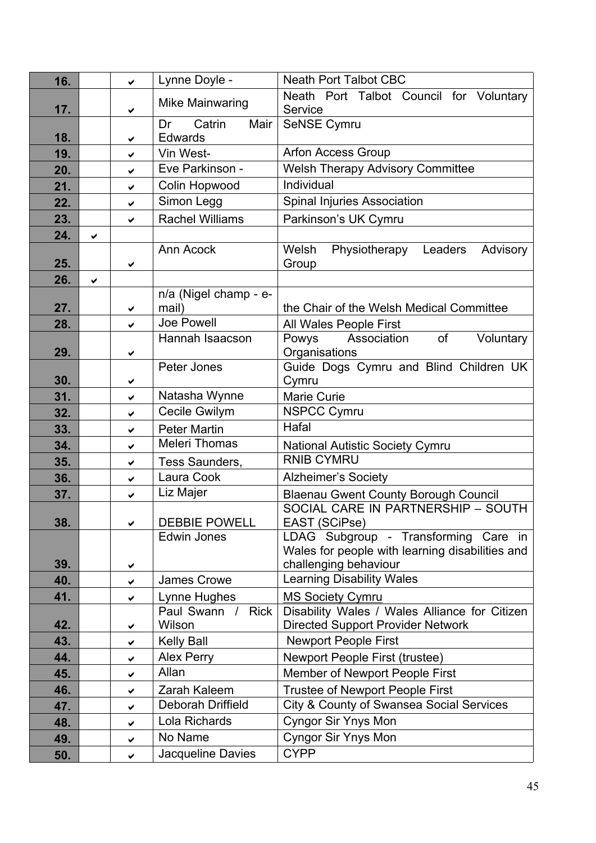| 16.        |              | $\checkmark$ | Lynne Doyle -               | <b>Neath Port Talbot CBC</b>                        |
|------------|--------------|--------------|-----------------------------|-----------------------------------------------------|
|            |              |              | Mike Mainwaring             | Neath Port Talbot Council for Voluntary             |
| 17.        |              | ✔            |                             | Service                                             |
|            |              |              | Catrin<br>Mair<br>Dr        | SeNSE Cymru                                         |
| 18.<br>19. |              | ✔            | <b>Edwards</b><br>Vin West- | <b>Arfon Access Group</b>                           |
|            |              | ✓            | Eve Parkinson -             | <b>Welsh Therapy Advisory Committee</b>             |
| 20.        |              | ✓            |                             | Individual                                          |
| 21.        |              | $\checkmark$ | Colin Hopwood<br>Simon Legg |                                                     |
| 22.        |              | $\checkmark$ |                             | Spinal Injuries Association                         |
| 23.        |              | ✔            | <b>Rachel Williams</b>      | Parkinson's UK Cymru                                |
| 24.        | $\checkmark$ |              | Ann Acock                   |                                                     |
| 25.        |              | ✔            |                             | Physiotherapy Leaders<br>Welsh<br>Advisory<br>Group |
| 26.        | ✔            |              |                             |                                                     |
|            |              |              | n/a (Nigel champ - e-       |                                                     |
| 27.        |              | $\checkmark$ | mail)                       | the Chair of the Welsh Medical Committee            |
| 28.        |              | ✓            | Joe Powell                  | All Wales People First                              |
|            |              |              | Hannah Isaacson             | Association<br>of<br>Voluntary<br>Powys             |
| 29.        |              | ✔            |                             | Organisations                                       |
|            |              |              | Peter Jones                 | Guide Dogs Cymru and Blind Children UK              |
| 30.        |              | ✔            |                             | Cymru                                               |
| 31.        |              | $\checkmark$ | Natasha Wynne               | <b>Marie Curie</b>                                  |
| 32.        |              | $\checkmark$ | Cecile Gwilym               | <b>NSPCC Cymru</b>                                  |
| 33.        |              | ✔            | <b>Peter Martin</b>         | Hafal                                               |
| 34.        |              | $\checkmark$ | <b>Meleri Thomas</b>        | <b>National Autistic Society Cymru</b>              |
| 35.        |              | ✔            | Tess Saunders,              | <b>RNIB CYMRU</b>                                   |
| 36.        |              | $\checkmark$ | Laura Cook                  | <b>Alzheimer's Society</b>                          |
| 37.        |              | $\checkmark$ | Liz Majer                   | <b>Blaenau Gwent County Borough Council</b>         |
| 38.        |              |              | <b>DEBBIE POWELL</b>        | SOCIAL CARE IN PARTNERSHIP - SOUTH<br>EAST (SCiPse) |
|            |              | ✔            | Edwin Jones                 | LDAG Subgroup - Transforming Care in                |
|            |              |              |                             | Wales for people with learning disabilities and     |
| 39.        |              | ✔            |                             | challenging behaviour                               |
| 40.        |              | $\checkmark$ | James Crowe                 | Learning Disability Wales                           |
| 41.        |              | ✔            | Lynne Hughes                | <b>MS Society Cymru</b>                             |
|            |              |              | Paul Swann /<br><b>Rick</b> | Disability Wales / Wales Alliance for Citizen       |
| 42.        |              | ✔            | Wilson                      | <b>Directed Support Provider Network</b>            |
| 43.        |              | ✔            | <b>Kelly Ball</b>           | <b>Newport People First</b>                         |
| 44.        |              | ✔            | Alex Perry                  | Newport People First (trustee)                      |
| 45.        |              | ✔            | Allan                       | Member of Newport People First                      |
| 46.        |              | ✔            | Zarah Kaleem                | <b>Trustee of Newport People First</b>              |
| 47.        |              | ✔            | Deborah Driffield           | City & County of Swansea Social Services            |
| 48.        |              | ✔            | Lola Richards               | <b>Cyngor Sir Ynys Mon</b>                          |
| 49.        |              | ✔            | No Name                     | <b>Cyngor Sir Ynys Mon</b>                          |
| 50.        |              | ✓            | Jacqueline Davies           | <b>CYPP</b>                                         |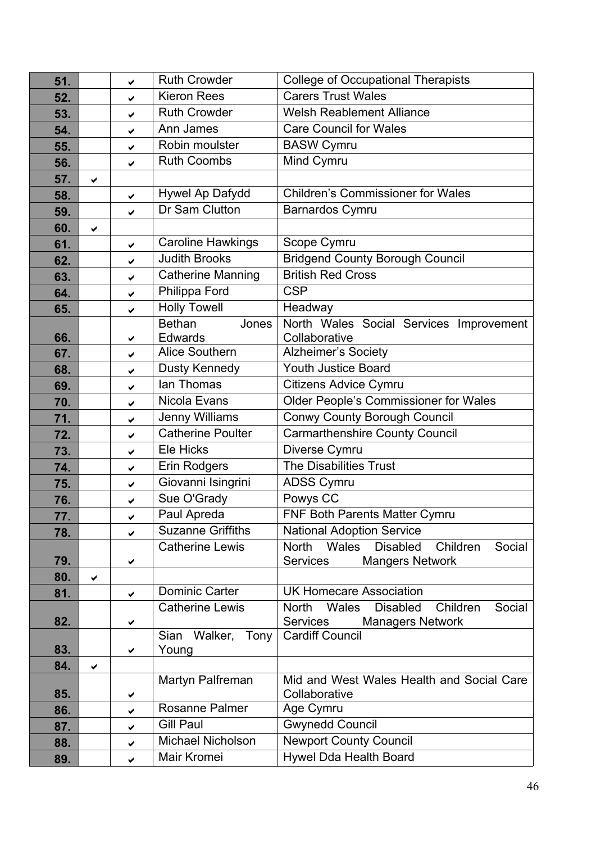| 51.        |   | ✓            | <b>Ruth Crowder</b>                        | <b>College of Occupational Therapists</b>                                    |
|------------|---|--------------|--------------------------------------------|------------------------------------------------------------------------------|
| 52.        |   | ✔            | <b>Kieron Rees</b>                         | <b>Carers Trust Wales</b>                                                    |
| 53.        |   | ✔            | <b>Ruth Crowder</b>                        | <b>Welsh Reablement Alliance</b>                                             |
| 54.        |   | $\checkmark$ | Ann James                                  | <b>Care Council for Wales</b>                                                |
| 55.        |   | ✔            | Robin moulster                             | <b>BASW Cymru</b>                                                            |
| 56.        |   | ✔            | <b>Ruth Coombs</b>                         | Mind Cymru                                                                   |
| 57.        | ✓ |              |                                            |                                                                              |
| 58.        |   | $\checkmark$ | Hywel Ap Dafydd                            | <b>Children's Commissioner for Wales</b>                                     |
| 59.        |   | $\checkmark$ | Dr Sam Clutton                             | Barnardos Cymru                                                              |
| 60.        | ✔ |              |                                            |                                                                              |
| 61.        |   | ✔            | <b>Caroline Hawkings</b>                   | Scope Cymru                                                                  |
| 62.        |   | ✔            | <b>Judith Brooks</b>                       | <b>Bridgend County Borough Council</b>                                       |
| 63.        |   | ✔            | <b>Catherine Manning</b>                   | <b>British Red Cross</b>                                                     |
| 64.        |   | $\checkmark$ | Philippa Ford                              | <b>CSP</b>                                                                   |
| 65.        |   | $\checkmark$ | <b>Holly Towell</b>                        | Headway                                                                      |
|            |   |              | <b>Bethan</b><br>Jones                     | North Wales Social Services Improvement                                      |
| 66.        |   | ✔            | Edwards                                    | Collaborative                                                                |
| 67.        |   | ✔            | Alice Southern                             | Alzheimer's Society<br><b>Youth Justice Board</b>                            |
| 68.        |   | ✔            | Dusty Kennedy<br>lan Thomas                |                                                                              |
| 69.        |   | ✔            | Nicola Evans                               | <b>Citizens Advice Cymru</b>                                                 |
| 70.        |   | ✔            |                                            | Older People's Commissioner for Wales                                        |
| 71.        |   | $\checkmark$ | Jenny Williams<br><b>Catherine Poulter</b> | <b>Conwy County Borough Council</b><br><b>Carmarthenshire County Council</b> |
| 72.        |   | ✔            | Ele Hicks                                  |                                                                              |
| 73.        |   | ✔            | Erin Rodgers                               | Diverse Cymru<br>The Disabilities Trust                                      |
| 74.        |   | $\checkmark$ | Giovanni Isingrini                         | <b>ADSS Cymru</b>                                                            |
| 75.        |   | ✔            | Sue O'Grady                                | Powys CC                                                                     |
| 76.<br>77. |   | ✔            | Paul Apreda                                | FNF Both Parents Matter Cymru                                                |
| 78.        |   | ✔<br>✔       | <b>Suzanne Griffiths</b>                   | <b>National Adoption Service</b>                                             |
|            |   |              | <b>Catherine Lewis</b>                     | <b>Wales</b><br><b>North</b><br><b>Disabled</b><br>Children<br>Social        |
| 79.        |   | ✔            |                                            | <b>Services</b><br><b>Mangers Network</b>                                    |
| 80.        | ✔ |              |                                            |                                                                              |
| 81.        |   | $\checkmark$ | <b>Dominic Carter</b>                      | <b>UK Homecare Association</b>                                               |
|            |   |              | <b>Catherine Lewis</b>                     | <b>North</b><br><b>Wales</b><br><b>Disabled</b><br>Children<br>Social        |
| 82.        |   | ✔            |                                            | <b>Services</b><br><b>Managers Network</b>                                   |
| 83.        |   |              | Walker,<br>Tony<br>Sian<br>Young           | <b>Cardiff Council</b>                                                       |
| 84.        |   | ✔            |                                            |                                                                              |
|            | ✔ |              | Martyn Palfreman                           | Mid and West Wales Health and Social Care                                    |
| 85.        |   | ✔            |                                            | Collaborative                                                                |
| 86.        |   | ✔            | <b>Rosanne Palmer</b>                      | Age Cymru                                                                    |
| 87.        |   | ✔            | <b>Gill Paul</b>                           | <b>Gwynedd Council</b>                                                       |
| 88.        |   | ✔            | <b>Michael Nicholson</b>                   | <b>Newport County Council</b>                                                |
| 89.        |   | ✔            | Mair Kromei                                | Hywel Dda Health Board                                                       |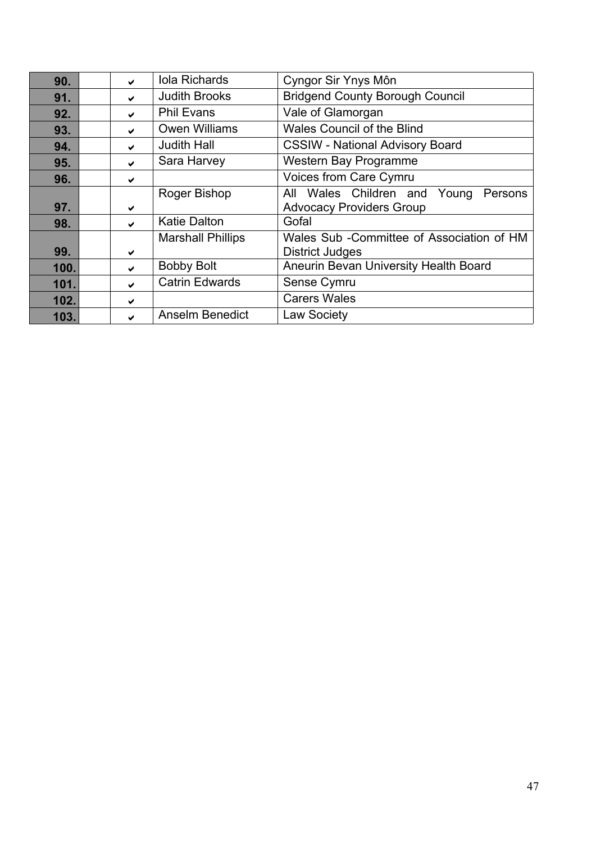| 90.  | ✔                     | <b>Iola Richards</b>     | Cyngor Sir Ynys Môn                        |
|------|-----------------------|--------------------------|--------------------------------------------|
| 91.  | ✔                     | <b>Judith Brooks</b>     | <b>Bridgend County Borough Council</b>     |
| 92.  | $\blacktriangleright$ | <b>Phil Evans</b>        | Vale of Glamorgan                          |
| 93.  | $\checkmark$          | <b>Owen Williams</b>     | <b>Wales Council of the Blind</b>          |
| 94.  | $\blacktriangleright$ | <b>Judith Hall</b>       | <b>CSSIW - National Advisory Board</b>     |
| 95.  | $\blacktriangleright$ | Sara Harvey              | Western Bay Programme                      |
| 96.  | ✔                     |                          | Voices from Care Cymru                     |
|      |                       | Roger Bishop             | Wales Children and Young<br>All<br>Persons |
| 97.  | ✔                     |                          | <b>Advocacy Providers Group</b>            |
| 98.  | $\blacktriangleright$ | <b>Katie Dalton</b>      | Gofal                                      |
|      |                       | <b>Marshall Phillips</b> | Wales Sub - Committee of Association of HM |
| 99.  | ✔                     |                          | <b>District Judges</b>                     |
| 100. | $\blacktriangleright$ | <b>Bobby Bolt</b>        | Aneurin Bevan University Health Board      |
| 101. | $\blacktriangleright$ | <b>Catrin Edwards</b>    | Sense Cymru                                |
| 102. | ✔                     |                          | <b>Carers Wales</b>                        |
| 103. | ✔                     | <b>Anselm Benedict</b>   | <b>Law Society</b>                         |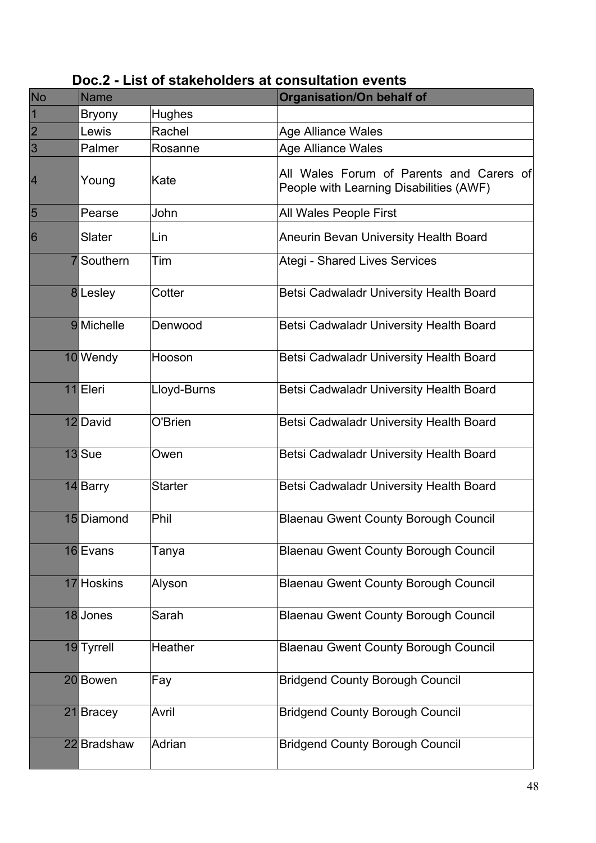| <b>No</b>      | <b>Name</b>       |                | <b>Organisation/On behalf of</b>                                                    |
|----------------|-------------------|----------------|-------------------------------------------------------------------------------------|
| 1              | <b>Bryony</b>     | <b>Hughes</b>  |                                                                                     |
| $\overline{2}$ | Lewis             | Rachel         | <b>Age Alliance Wales</b>                                                           |
| 3              | Palmer            | Rosanne        | <b>Age Alliance Wales</b>                                                           |
| 4              | Young             | Kate           | All Wales Forum of Parents and Carers of<br>People with Learning Disabilities (AWF) |
| 5              | Pearse            | John           | All Wales People First                                                              |
| 6              | Slater            | Lin            | <b>Aneurin Bevan University Health Board</b>                                        |
|                | <b>7</b> Southern | Tim            | <b>Ategi - Shared Lives Services</b>                                                |
|                | 8 Lesley          | Cotter         | Betsi Cadwaladr University Health Board                                             |
|                | 9 Michelle        | Denwood        | Betsi Cadwaladr University Health Board                                             |
|                | 10 Wendy          | Hooson         | Betsi Cadwaladr University Health Board                                             |
|                | 11 Eleri          | Lloyd-Burns    | Betsi Cadwaladr University Health Board                                             |
|                | 12 David          | O'Brien        | Betsi Cadwaladr University Health Board                                             |
|                | 13Sue             | Owen           | Betsi Cadwaladr University Health Board                                             |
|                | 14 Barry          | <b>Starter</b> | Betsi Cadwaladr University Health Board                                             |
|                | 15 Diamond        | Phil           | <b>Blaenau Gwent County Borough Council</b>                                         |
|                | 16 Evans          | Tanya          | <b>Blaenau Gwent County Borough Council</b>                                         |
|                | 17 Hoskins        | Alyson         | <b>Blaenau Gwent County Borough Council</b>                                         |
|                | 18 Jones          | Sarah          | <b>Blaenau Gwent County Borough Council</b>                                         |
|                | 19 Tyrrell        | <b>Heather</b> | <b>Blaenau Gwent County Borough Council</b>                                         |
|                | 20 Bowen          | Fay            | <b>Bridgend County Borough Council</b>                                              |
|                | 21 Bracey         | Avril          | <b>Bridgend County Borough Council</b>                                              |
|                | 22 Bradshaw       | Adrian         | <b>Bridgend County Borough Council</b>                                              |

**Doc.2 - List of stakeholders at consultation events**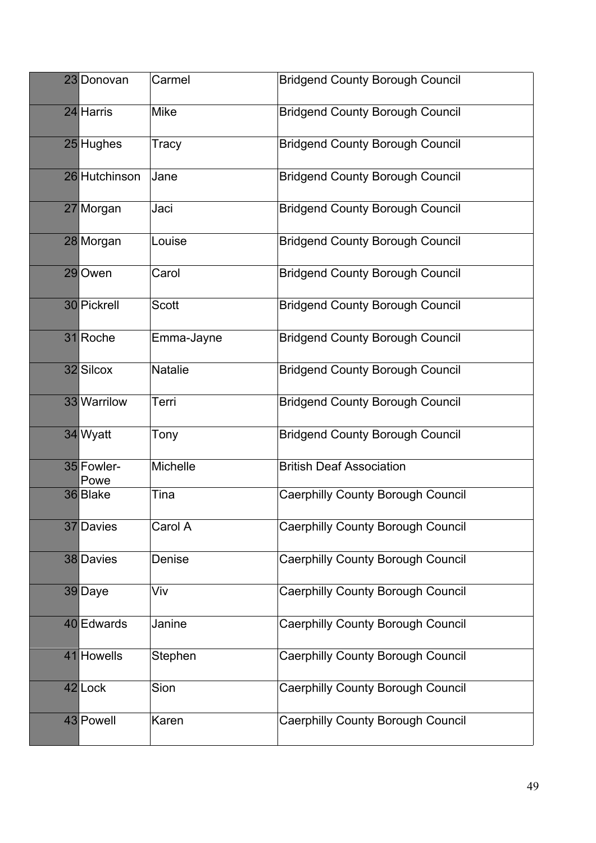| 23 Donovan         | Carmel          | <b>Bridgend County Borough Council</b>   |
|--------------------|-----------------|------------------------------------------|
| 24 Harris          | <b>Mike</b>     | <b>Bridgend County Borough Council</b>   |
| 25 Hughes          | Tracy           | <b>Bridgend County Borough Council</b>   |
| 26 Hutchinson      | Jane            | <b>Bridgend County Borough Council</b>   |
| 27 Morgan          | Jaci            | <b>Bridgend County Borough Council</b>   |
| 28 Morgan          | Louise          | <b>Bridgend County Borough Council</b>   |
| 29 Owen            | Carol           | <b>Bridgend County Borough Council</b>   |
| 30 Pickrell        | <b>Scott</b>    | <b>Bridgend County Borough Council</b>   |
| 31 Roche           | Emma-Jayne      | <b>Bridgend County Borough Council</b>   |
| 32 Silcox          | <b>Natalie</b>  | <b>Bridgend County Borough Council</b>   |
| 33 Warrilow        | Terri           | <b>Bridgend County Borough Council</b>   |
| 34 Wyatt           | Tony            | <b>Bridgend County Borough Council</b>   |
| 35 Fowler-<br>Powe | <b>Michelle</b> | <b>British Deaf Association</b>          |
| 36 Blake           | Tina            | <b>Caerphilly County Borough Council</b> |
| 37 Davies          | Carol A         | <b>Caerphilly County Borough Council</b> |
| 38 Davies          | Denise          | <b>Caerphilly County Borough Council</b> |
| 39 Daye            | Viv             | <b>Caerphilly County Borough Council</b> |
| 40 Edwards         | Janine          | Caerphilly County Borough Council        |
| 41 Howells         | Stephen         | <b>Caerphilly County Borough Council</b> |
| 42 Lock            | Sion            | Caerphilly County Borough Council        |
| 43 Powell          | Karen           | <b>Caerphilly County Borough Council</b> |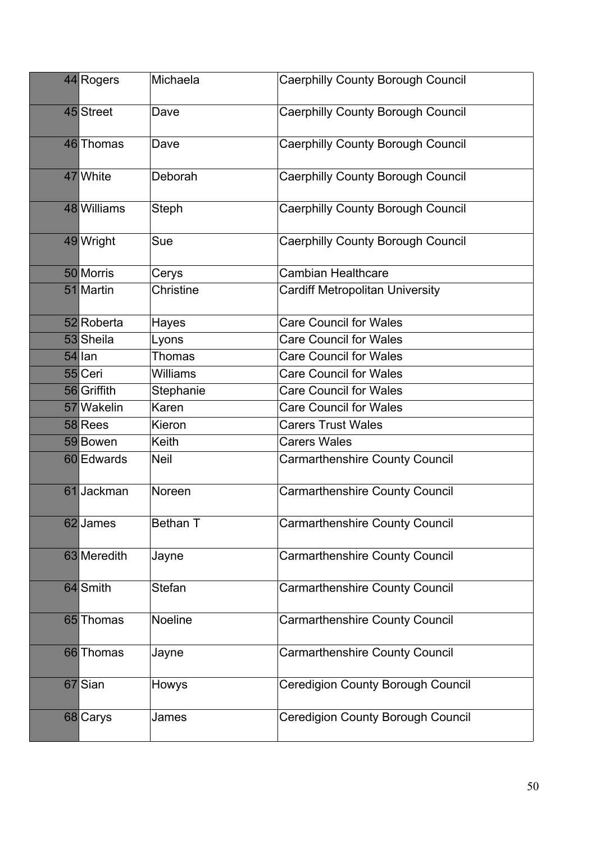| 44 Rogers   | Michaela        | <b>Caerphilly County Borough Council</b> |
|-------------|-----------------|------------------------------------------|
| 45 Street   | Dave            | <b>Caerphilly County Borough Council</b> |
| 46 Thomas   | Dave            | <b>Caerphilly County Borough Council</b> |
| 47 White    | Deborah         | Caerphilly County Borough Council        |
| 48 Williams | Steph           | <b>Caerphilly County Borough Council</b> |
| 49 Wright   | Sue             | <b>Caerphilly County Borough Council</b> |
| 50 Morris   | Cerys           | <b>Cambian Healthcare</b>                |
| 51 Martin   | Christine       | <b>Cardiff Metropolitan University</b>   |
| 52 Roberta  | Hayes           | <b>Care Council for Wales</b>            |
| 53 Sheila   | Lyons           | <b>Care Council for Wales</b>            |
| 54 lan      | <b>Thomas</b>   | <b>Care Council for Wales</b>            |
| 55 Ceri     | <b>Williams</b> | <b>Care Council for Wales</b>            |
| 56 Griffith | Stephanie       | <b>Care Council for Wales</b>            |
| 57 Wakelin  | Karen           | <b>Care Council for Wales</b>            |
| 58 Rees     | Kieron          | <b>Carers Trust Wales</b>                |
| 59 Bowen    | Keith           | <b>Carers Wales</b>                      |
| 60 Edwards  | <b>Neil</b>     | <b>Carmarthenshire County Council</b>    |
| 61 Jackman  | Noreen          | <b>Carmarthenshire County Council</b>    |
| 62 James    | Bethan T        | <b>Carmarthenshire County Council</b>    |
| 63 Meredith | Jayne           | <b>Carmarthenshire County Council</b>    |
| 64 Smith    | <b>Stefan</b>   | <b>Carmarthenshire County Council</b>    |
| 65 Thomas   | Noeline         | <b>Carmarthenshire County Council</b>    |
| 66 Thomas   | Jayne           | <b>Carmarthenshire County Council</b>    |
| 67 Sian     | Howys           | <b>Ceredigion County Borough Council</b> |
| 68 Carys    | James           | <b>Ceredigion County Borough Council</b> |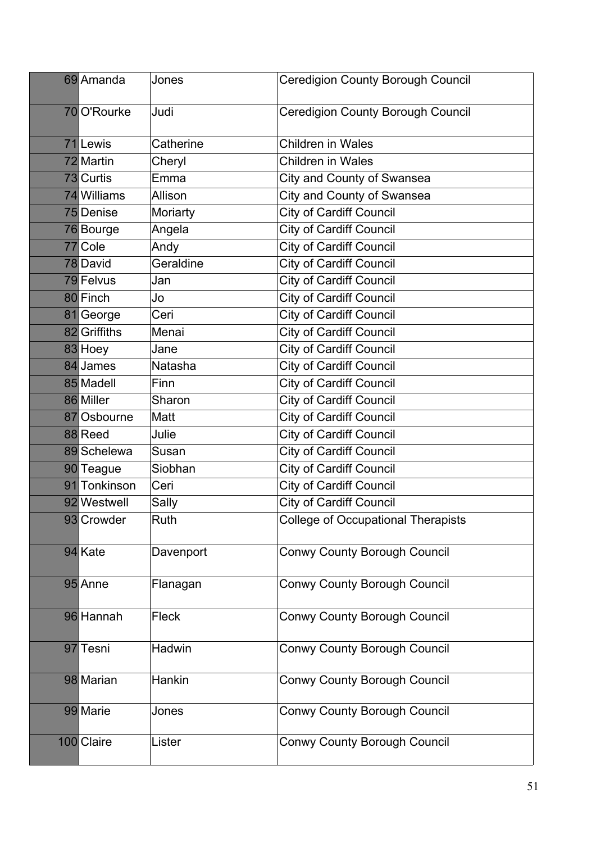| 69 Amanda    | Jones        | <b>Ceredigion County Borough Council</b>  |
|--------------|--------------|-------------------------------------------|
| 70 O'Rourke  | Judi         | <b>Ceredigion County Borough Council</b>  |
| 71Lewis      | Catherine    | <b>Children in Wales</b>                  |
| 72 Martin    | Cheryl       | <b>Children in Wales</b>                  |
| 73 Curtis    | Emma         | City and County of Swansea                |
| 74 Williams  | Allison      | City and County of Swansea                |
| 75 Denise    | Moriarty     | <b>City of Cardiff Council</b>            |
| 76 Bourge    | Angela       | City of Cardiff Council                   |
| 77 Cole      | Andy         | <b>City of Cardiff Council</b>            |
| 78 David     | Geraldine    | City of Cardiff Council                   |
| 79 Felvus    | Jan          | <b>City of Cardiff Council</b>            |
| 80 Finch     | Jo           | <b>City of Cardiff Council</b>            |
| 81 George    | Ceri         | <b>City of Cardiff Council</b>            |
| 82 Griffiths | Menai        | <b>City of Cardiff Council</b>            |
| 83 Hoey      | Jane         | City of Cardiff Council                   |
| 84 James     | Natasha      | <b>City of Cardiff Council</b>            |
| 85 Madell    | Finn         | <b>City of Cardiff Council</b>            |
| 86 Miller    | Sharon       | <b>City of Cardiff Council</b>            |
| 87 Osbourne  | Matt         | <b>City of Cardiff Council</b>            |
| 88 Reed      | Julie        | <b>City of Cardiff Council</b>            |
| 89 Schelewa  | Susan        | <b>City of Cardiff Council</b>            |
| 90 Teague    | Siobhan      | <b>City of Cardiff Council</b>            |
| 91 Tonkinson | Ceri         | <b>City of Cardiff Council</b>            |
| 92 Westwell  | Sally        | <b>City of Cardiff Council</b>            |
| 93 Crowder   | Ruth         | <b>College of Occupational Therapists</b> |
| 94 Kate      | Davenport    | <b>Conwy County Borough Council</b>       |
| 95 Anne      | Flanagan     | <b>Conwy County Borough Council</b>       |
| 96 Hannah    | <b>Fleck</b> | <b>Conwy County Borough Council</b>       |
| 97 Tesni     | Hadwin       | <b>Conwy County Borough Council</b>       |
| 98 Marian    | Hankin       | <b>Conwy County Borough Council</b>       |
| 99 Marie     | Jones        | <b>Conwy County Borough Council</b>       |
| 100 Claire   | Lister       | <b>Conwy County Borough Council</b>       |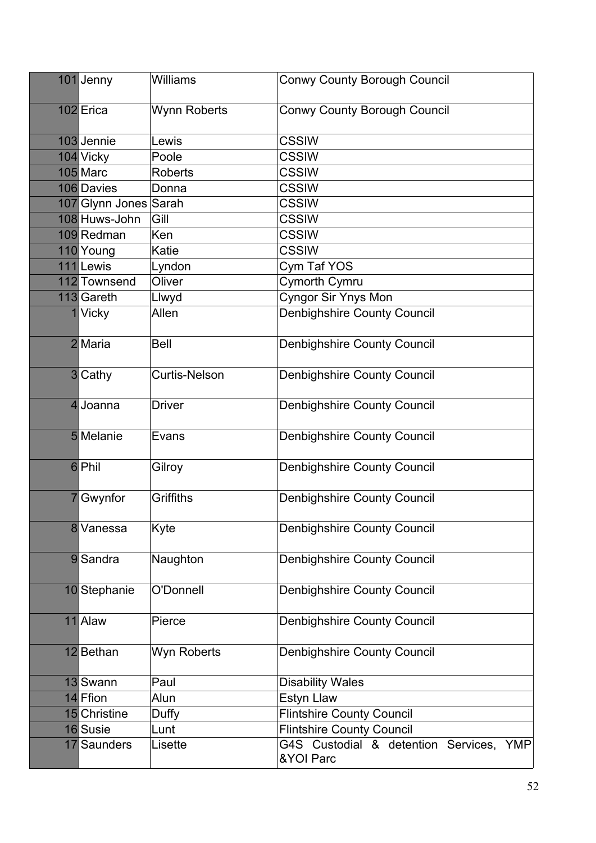| 101 Jenny             | Williams             | <b>Conwy County Borough Council</b>                            |
|-----------------------|----------------------|----------------------------------------------------------------|
| 102 Erica             | Wynn Roberts         | <b>Conwy County Borough Council</b>                            |
| 103 Jennie            | Lewis                | <b>CSSIW</b>                                                   |
| 104 Vicky             | Poole                | <b>CSSIW</b>                                                   |
| 105 Marc              | <b>Roberts</b>       | <b>CSSIW</b>                                                   |
| 106 Davies            | Donna                | <b>CSSIW</b>                                                   |
| 107 Glynn Jones Sarah |                      | <b>CSSIW</b>                                                   |
| 108 Huws-John         | Gill                 | <b>CSSIW</b>                                                   |
| 109 Redman            | Ken                  | <b>CSSIW</b>                                                   |
| 110 Young             | Katie                | <b>CSSIW</b>                                                   |
| 111 Lewis             | Lyndon               | Cym Taf YOS                                                    |
| 112 Townsend          | Oliver               | Cymorth Cymru                                                  |
| 113 Gareth            | Llwyd                | <b>Cyngor Sir Ynys Mon</b>                                     |
| 1 Vicky               | Allen                | <b>Denbighshire County Council</b>                             |
| 2 Maria               | <b>Bell</b>          | <b>Denbighshire County Council</b>                             |
| 3 Cathy               | <b>Curtis-Nelson</b> | <b>Denbighshire County Council</b>                             |
| 4 Joanna              | <b>Driver</b>        | <b>Denbighshire County Council</b>                             |
| 5 Melanie             | Evans                | Denbighshire County Council                                    |
| 6 Phil                | Gilroy               | <b>Denbighshire County Council</b>                             |
| Gwynfor               | Griffiths            | <b>Denbighshire County Council</b>                             |
| 8 Vanessa             | Kyte                 | <b>Denbighshire County Council</b>                             |
| 9 Sandra              | Naughton             | Denbighshire County Council                                    |
| 10 Stephanie          | O'Donnell            | <b>Denbighshire County Council</b>                             |
| 11 Alaw               | Pierce               | Denbighshire County Council                                    |
| 12 Bethan             | Wyn Roberts          | <b>Denbighshire County Council</b>                             |
| 13 Swann              | Paul                 | <b>Disability Wales</b>                                        |
| 14 Ffion              | Alun                 | Estyn Llaw                                                     |
| 15 Christine          | Duffy                | <b>Flintshire County Council</b>                               |
| 16 Susie              | Lunt                 | <b>Flintshire County Council</b>                               |
| 17 Saunders           | Lisette              | G4S Custodial & detention Services,<br><b>YMP</b><br>&YOI Parc |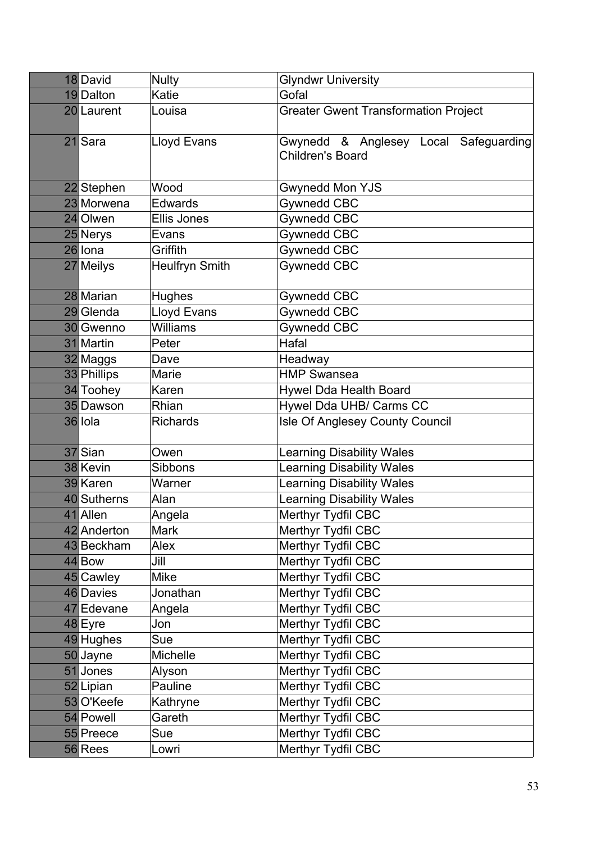| 18 David    | <b>Nulty</b>          | <b>Glyndwr University</b>                                        |
|-------------|-----------------------|------------------------------------------------------------------|
| 19 Dalton   | Katie                 | Gofal                                                            |
| 20 Laurent  | Louisa                | <b>Greater Gwent Transformation Project</b>                      |
| 21 Sara     | <b>Lloyd Evans</b>    | Gwynedd & Anglesey Local Safeguarding<br><b>Children's Board</b> |
| 22 Stephen  | Wood                  | <b>Gwynedd Mon YJS</b>                                           |
| 23 Morwena  | <b>Edwards</b>        | Gywnedd CBC                                                      |
| 24 Olwen    | Ellis Jones           | Gywnedd CBC                                                      |
| 25 Nerys    | Evans                 | Gywnedd CBC                                                      |
| 26 Iona     | Griffith              | Gywnedd CBC                                                      |
| 27 Meilys   | <b>Heulfryn Smith</b> | Gywnedd CBC                                                      |
| 28 Marian   | <b>Hughes</b>         | Gywnedd CBC                                                      |
| 29 Glenda   | Lloyd Evans           | Gywnedd CBC                                                      |
| 30 Gwenno   | <b>Williams</b>       | Gywnedd CBC                                                      |
| 31 Martin   | Peter                 | Hafal                                                            |
| 32 Maggs    | Dave                  | Headway                                                          |
| 33 Phillips | Marie                 | <b>HMP Swansea</b>                                               |
| 34 Toohey   | Karen                 | Hywel Dda Health Board                                           |
| 35 Dawson   | Rhian                 | Hywel Dda UHB/ Carms CC                                          |
| 36 Iola     | <b>Richards</b>       | Isle Of Anglesey County Council                                  |
| 37 Sian     | Owen                  | <b>Learning Disability Wales</b>                                 |
| 38 Kevin    | Sibbons               | <b>Learning Disability Wales</b>                                 |
| 39 Karen    | Warner                | <b>Learning Disability Wales</b>                                 |
| 40 Sutherns | Alan                  | Learning Disability Wales                                        |
| 41 Allen    | Angela                | Merthyr Tydfil CBC                                               |
| 42 Anderton | <b>Mark</b>           | Merthyr Tydfil CBC                                               |
| 43 Beckham  | Alex                  | Merthyr Tydfil CBC                                               |
| 44 Bow      | Jill                  | Merthyr Tydfil CBC                                               |
| 45 Cawley   | Mike                  | Merthyr Tydfil CBC                                               |
| 46 Davies   | Jonathan              | Merthyr Tydfil CBC                                               |
| 47 Edevane  | Angela                | Merthyr Tydfil CBC                                               |
| 48 Eyre     | Jon                   | Merthyr Tydfil CBC                                               |
| 49 Hughes   | Sue                   | Merthyr Tydfil CBC                                               |
| 50 Jayne    | Michelle              | Merthyr Tydfil CBC                                               |
| 51 Jones    | Alyson                | Merthyr Tydfil CBC                                               |
| 52 Lipian   | Pauline               | Merthyr Tydfil CBC                                               |
| 53 O'Keefe  | Kathryne              | Merthyr Tydfil CBC                                               |
| 54 Powell   | Gareth                | Merthyr Tydfil CBC                                               |
| 55 Preece   | Sue                   | Merthyr Tydfil CBC                                               |
| 56 Rees     | Lowri                 | Merthyr Tydfil CBC                                               |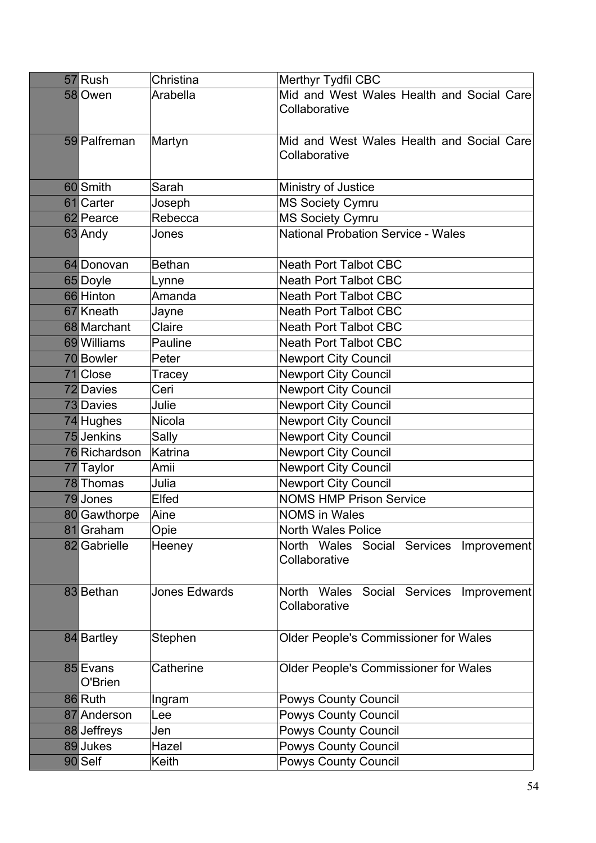| 57 Rush             | Christina            | Merthyr Tydfil CBC                                             |
|---------------------|----------------------|----------------------------------------------------------------|
| 58 Owen             | Arabella             | Mid and West Wales Health and Social Care<br>Collaborative     |
| 59 Palfreman        | Martyn               | Mid and West Wales Health and Social Care<br>Collaborative     |
| 60 Smith            | Sarah                | Ministry of Justice                                            |
| 61 Carter           | Joseph               | <b>MS Society Cymru</b>                                        |
| 62 Pearce           | Rebecca              | <b>MS Society Cymru</b>                                        |
| 63 Andy             | Jones                | <b>National Probation Service - Wales</b>                      |
| 64 Donovan          | <b>Bethan</b>        | <b>Neath Port Talbot CBC</b>                                   |
| 65 Doyle            | Lynne                | <b>Neath Port Talbot CBC</b>                                   |
| 66 Hinton           | Amanda               | <b>Neath Port Talbot CBC</b>                                   |
| 67 Kneath           | Jayne                | <b>Neath Port Talbot CBC</b>                                   |
| 68 Marchant         | Claire               | <b>Neath Port Talbot CBC</b>                                   |
| 69 Williams         | Pauline              | <b>Neath Port Talbot CBC</b>                                   |
| 70 Bowler           | Peter                | <b>Newport City Council</b>                                    |
| 71 Close            | Tracey               | <b>Newport City Council</b>                                    |
| 72 Davies           | Ceri                 | <b>Newport City Council</b>                                    |
| 73 Davies           | Julie                | <b>Newport City Council</b>                                    |
| 74 Hughes           | Nicola               | <b>Newport City Council</b>                                    |
| 75 Jenkins          | Sally                | <b>Newport City Council</b>                                    |
| 76 Richardson       | Katrina              | Newport City Council                                           |
| 77 Taylor           | Amii                 | <b>Newport City Council</b>                                    |
| 78 Thomas           | Julia                | <b>Newport City Council</b>                                    |
| 79Jones             | Elfed                | <b>NOMS HMP Prison Service</b>                                 |
| 80 Gawthorpe        | Aine                 | <b>NOMS in Wales</b>                                           |
| 81 Graham           | Opie                 | <b>North Wales Police</b>                                      |
| 82 Gabrielle        | Heeney               | North Wales<br>Services Improvement<br>Social<br>Collaborative |
| 83 Bethan           | <b>Jones Edwards</b> | North Wales<br>Social Services<br>Improvement<br>Collaborative |
| 84 Bartley          | Stephen              | <b>Older People's Commissioner for Wales</b>                   |
| 85 Evans<br>O'Brien | Catherine            | <b>Older People's Commissioner for Wales</b>                   |
| 86 Ruth             | Ingram               | <b>Powys County Council</b>                                    |
| 87 Anderson         | Lee                  | <b>Powys County Council</b>                                    |
| 88 Jeffreys         | Jen                  | <b>Powys County Council</b>                                    |
| 89 Jukes            | Hazel                | <b>Powys County Council</b>                                    |
| 90 Self             | Keith                | <b>Powys County Council</b>                                    |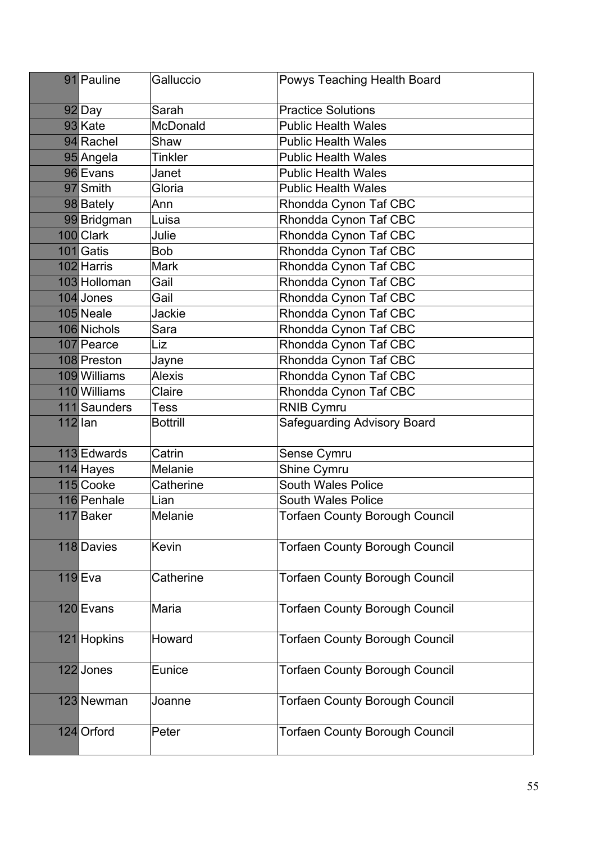|           | 91 Pauline   | Galluccio       | Powys Teaching Health Board           |
|-----------|--------------|-----------------|---------------------------------------|
|           | 92Day        | Sarah           | <b>Practice Solutions</b>             |
|           | 93 Kate      | McDonald        | <b>Public Health Wales</b>            |
|           | 94 Rachel    | Shaw            | <b>Public Health Wales</b>            |
|           | 95 Angela    | <b>Tinkler</b>  | <b>Public Health Wales</b>            |
|           | 96 Evans     | Janet           | <b>Public Health Wales</b>            |
|           | 97 Smith     | Gloria          | <b>Public Health Wales</b>            |
|           | 98 Bately    | Ann             | Rhondda Cynon Taf CBC                 |
|           | 99 Bridgman  | Luisa           | Rhondda Cynon Taf CBC                 |
|           | 100 Clark    | Julie           | Rhondda Cynon Taf CBC                 |
|           | 101 Gatis    | <b>Bob</b>      | Rhondda Cynon Taf CBC                 |
|           | 102 Harris   | <b>Mark</b>     | Rhondda Cynon Taf CBC                 |
|           | 103 Holloman | Gail            | Rhondda Cynon Taf CBC                 |
|           | 104 Jones    | Gail            | Rhondda Cynon Taf CBC                 |
|           | 105 Neale    | Jackie          | Rhondda Cynon Taf CBC                 |
|           | 106 Nichols  | Sara            | Rhondda Cynon Taf CBC                 |
|           | 107 Pearce   | Liz             | Rhondda Cynon Taf CBC                 |
|           | 108 Preston  | Jayne           | Rhondda Cynon Taf CBC                 |
|           | 109 Williams | <b>Alexis</b>   | Rhondda Cynon Taf CBC                 |
|           | 110 Williams | Claire          | Rhondda Cynon Taf CBC                 |
|           | 111 Saunders | Tess            | <b>RNIB Cymru</b>                     |
| $112$ lan |              | <b>Bottrill</b> | Safeguarding Advisory Board           |
|           | 113 Edwards  | Catrin          | Sense Cymru                           |
|           | 114 Hayes    | Melanie         | Shine Cymru                           |
|           | 115 Cooke    | Catherine       | <b>South Wales Police</b>             |
|           | 116 Penhale  | Lian            | South Wales Police                    |
|           | 117 Baker    | Melanie         | <b>Torfaen County Borough Council</b> |
|           | 118 Davies   | Kevin           | <b>Torfaen County Borough Council</b> |
|           | $119$ Eva    | Catherine       | <b>Torfaen County Borough Council</b> |
|           | 120 Evans    | Maria           | <b>Torfaen County Borough Council</b> |
|           | 121 Hopkins  | Howard          | <b>Torfaen County Borough Council</b> |
|           | 122 Jones    | Eunice          | <b>Torfaen County Borough Council</b> |
|           | 123 Newman   | Joanne          | <b>Torfaen County Borough Council</b> |
|           | 124 Orford   | Peter           | <b>Torfaen County Borough Council</b> |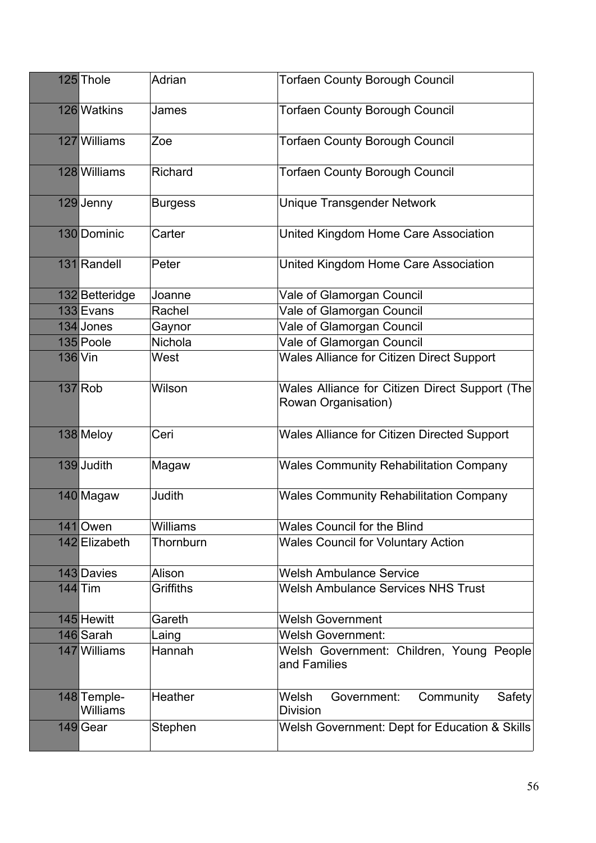| 125 Thole                      | Adrian          | <b>Torfaen County Borough Council</b>                                 |
|--------------------------------|-----------------|-----------------------------------------------------------------------|
| 126 Watkins                    | James           | <b>Torfaen County Borough Council</b>                                 |
| 127 Williams                   | Zoe             | <b>Torfaen County Borough Council</b>                                 |
| 128 Williams                   | Richard         | <b>Torfaen County Borough Council</b>                                 |
| 129 Jenny                      | <b>Burgess</b>  | <b>Unique Transgender Network</b>                                     |
| 130 Dominic                    | Carter          | United Kingdom Home Care Association                                  |
| 131 Randell                    | Peter           | United Kingdom Home Care Association                                  |
| 132 Betteridge                 | Joanne          | Vale of Glamorgan Council                                             |
| 133 Evans                      | Rachel          | Vale of Glamorgan Council                                             |
| 134 Jones                      | Gaynor          | Vale of Glamorgan Council                                             |
| 135 Poole                      | Nichola         | Vale of Glamorgan Council                                             |
| 136 Vin                        | West            | <b>Wales Alliance for Citizen Direct Support</b>                      |
| $137$ Rob                      | Wilson          | Wales Alliance for Citizen Direct Support (The<br>Rowan Organisation) |
| 138 Meloy                      | Ceri            | <b>Wales Alliance for Citizen Directed Support</b>                    |
| 139 Judith                     | Magaw           | <b>Wales Community Rehabilitation Company</b>                         |
| 140 Magaw                      | Judith          | <b>Wales Community Rehabilitation Company</b>                         |
| 141 Owen                       | <b>Williams</b> | <b>Wales Council for the Blind</b>                                    |
| 142 Elizabeth                  | Thornburn       | <b>Wales Council for Voluntary Action</b>                             |
| 143 Davies                     | Alison          | <b>Welsh Ambulance Service</b>                                        |
| $144$ Tim                      | Griffiths       | <b>Welsh Ambulance Services NHS Trust</b>                             |
| 145 Hewitt                     | Gareth          | <b>Welsh Government</b>                                               |
| 146 Sarah                      | Laing           | <b>Welsh Government:</b>                                              |
| 147 Williams                   | Hannah          | Welsh Government: Children, Young People<br>and Families              |
| 148 Temple-<br><b>Williams</b> | Heather         | Welsh<br>Community<br>Safety<br>Government:<br><b>Division</b>        |
| 149 Gear                       | Stephen         | Welsh Government: Dept for Education & Skills                         |